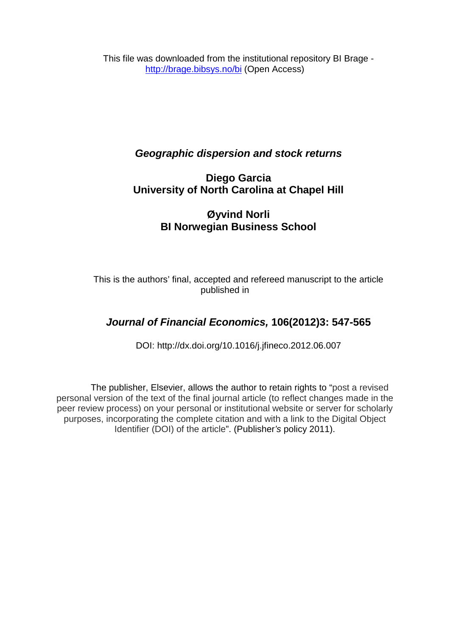This file was downloaded from the institutional repository BI Brage <http://brage.bibsys.no/bi> (Open Access)

## *Geographic dispersion and stock returns*

## **Diego Garcia University of North Carolina at Chapel Hill**

## **Øyvind Norli BI Norwegian Business School**

This is the authors' final, accepted and refereed manuscript to the article published in

## *Journal of Financial Economics,* **106(2012)3: 547-565**

DOI: http://dx.doi.org[/10.1016/j.jfineco.2012.06.007](http://dx.doi.org/10.1016/j.jfineco.2012.06.007)

The publisher, Elsevier, allows the author to retain rights to "post a revised personal version of the text of the final journal article (to reflect changes made in the peer review process) on your personal or institutional website or server for scholarly purposes, incorporating the complete citation and with a link to the Digital Object Identifier (DOI) of the article". (Publisher*'s* policy 2011).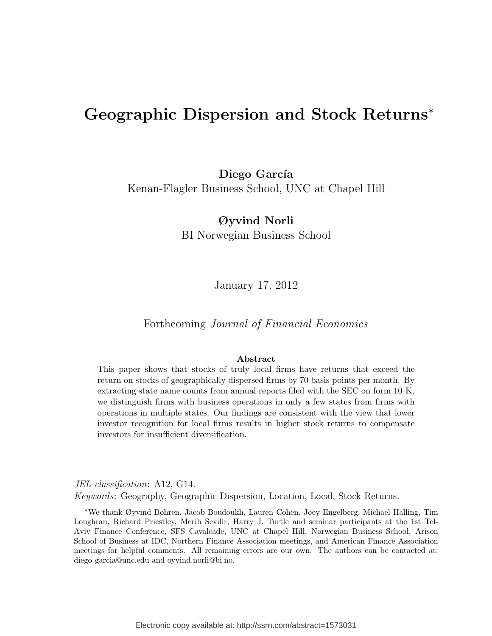# Geographic Dispersion and Stock Returns<sup>∗</sup>

Diego García

Kenan-Flagler Business School, UNC at Chapel Hill

Øyvind Norli

BI Norwegian Business School

January 17, 2012

Forthcoming Journal of Financial Economics

#### Abstract

This paper shows that stocks of truly local firms have returns that exceed the return on stocks of geographically dispersed firms by 70 basis points per month. By extracting state name counts from annual reports filed with the SEC on form  $10 - K$ , we distinguish firms with business operations in only a few states from firms with operations in multiple states. Our findings are consistent with the view that lower investor recognition for local firms results in higher stock returns to compensate investors for insufficient diversification.

JEL classification: A12, G14. Keywords: Geography, Geographic Dispersion, Location, Local, Stock Returns.

<sup>∗</sup>We thank Øyvind Bøhren, Jacob Boudoukh, Lauren Cohen, Joey Engelberg, Michael Halling, Tim Loughran, Richard Priestley, Merih Sevilir, Harry J. Turtle and seminar participants at the 1st Tel-Aviv Finance Conference, SFS Cavalcade, UNC at Chapel Hill, Norwegian Business School, Arison School of Business at IDC, Northern Finance Association meetings, and American Finance Association meetings for helpful comments. All remaining errors are our own. The authors can be contacted at: diego garcia@unc.edu and oyvind.norli@bi.no.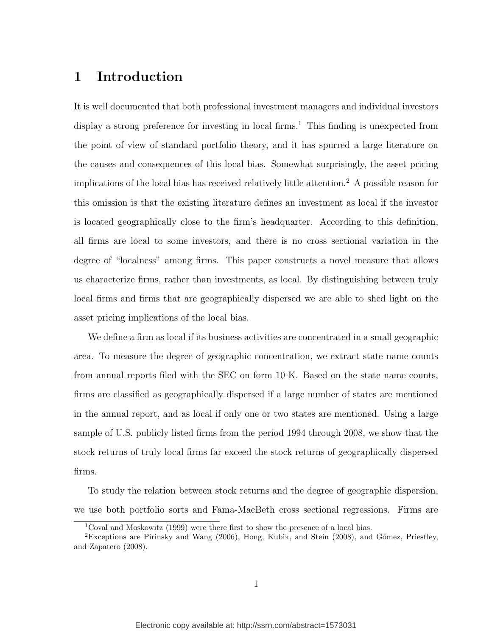## 1 Introduction

It is well documented that both professional investment managers and individual investors display a strong preference for investing in local firms.<sup>1</sup> This finding is unexpected from the point of view of standard portfolio theory, and it has spurred a large literature on the causes and consequences of this local bias. Somewhat surprisingly, the asset pricing implications of the local bias has received relatively little attention.<sup>2</sup> A possible reason for this omission is that the existing literature defines an investment as local if the investor is located geographically close to the firm's headquarter. According to this definition, all firms are local to some investors, and there is no cross sectional variation in the degree of "localness" among firms. This paper constructs a novel measure that allows us characterize firms, rather than investments, as local. By distinguishing between truly local firms and firms that are geographically dispersed we are able to shed light on the asset pricing implications of the local bias.

We define a firm as local if its business activities are concentrated in a small geographic area. To measure the degree of geographic concentration, we extract state name counts from annual reports filed with the SEC on form 10-K. Based on the state name counts, firms are classified as geographically dispersed if a large number of states are mentioned in the annual report, and as local if only one or two states are mentioned. Using a large sample of U.S. publicly listed firms from the period 1994 through 2008, we show that the stock returns of truly local firms far exceed the stock returns of geographically dispersed firms.

To study the relation between stock returns and the degree of geographic dispersion, we use both portfolio sorts and Fama-MacBeth cross sectional regressions. Firms are

 $1$ Coval and Moskowitz (1999) were there first to show the presence of a local bias.

 ${}^{2}$ Exceptions are Pirinsky and Wang (2006), Hong, Kubik, and Stein (2008), and Gómez, Priestley, and Zapatero (2008).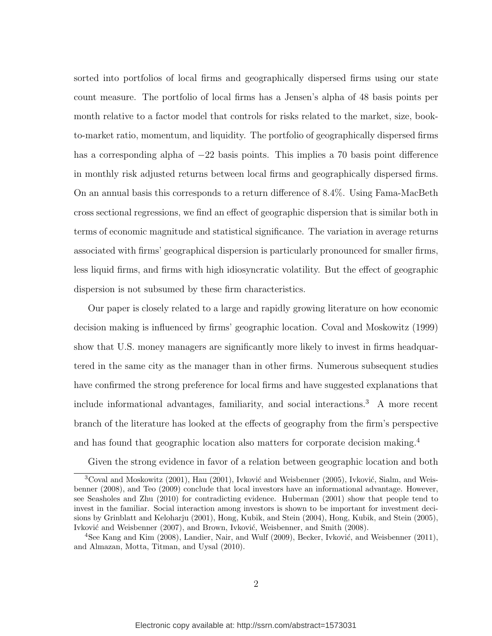sorted into portfolios of local firms and geographically dispersed firms using our state count measure. The portfolio of local firms has a Jensen's alpha of 48 basis points per month relative to a factor model that controls for risks related to the market, size, bookto-market ratio, momentum, and liquidity. The portfolio of geographically dispersed firms has a corresponding alpha of −22 basis points. This implies a 70 basis point difference in monthly risk adjusted returns between local firms and geographically dispersed firms. On an annual basis this corresponds to a return difference of 8.4%. Using Fama-MacBeth cross sectional regressions, we find an effect of geographic dispersion that is similar both in terms of economic magnitude and statistical significance. The variation in average returns associated with firms' geographical dispersion is particularly pronounced for smaller firms, less liquid firms, and firms with high idiosyncratic volatility. But the effect of geographic dispersion is not subsumed by these firm characteristics.

Our paper is closely related to a large and rapidly growing literature on how economic decision making is influenced by firms' geographic location. Coval and Moskowitz (1999) show that U.S. money managers are significantly more likely to invest in firms headquartered in the same city as the manager than in other firms. Numerous subsequent studies have confirmed the strong preference for local firms and have suggested explanations that include informational advantages, familiarity, and social interactions.<sup>3</sup> A more recent branch of the literature has looked at the effects of geography from the firm's perspective and has found that geographic location also matters for corporate decision making.<sup>4</sup>

Given the strong evidence in favor of a relation between geographic location and both

 $3$ Coval and Moskowitz (2001), Hau (2001), Ivković and Weisbenner (2005), Ivković, Sialm, and Weisbenner (2008), and Teo (2009) conclude that local investors have an informational advantage. However, see Seasholes and Zhu (2010) for contradicting evidence. Huberman (2001) show that people tend to invest in the familiar. Social interaction among investors is shown to be important for investment decisions by Grinblatt and Keloharju (2001), Hong, Kubik, and Stein (2004), Hong, Kubik, and Stein (2005), Ivković and Weisbenner (2007), and Brown, Ivković, Weisbenner, and Smith (2008).

<sup>&</sup>lt;sup>4</sup>See Kang and Kim (2008), Landier, Nair, and Wulf (2009), Becker, Ivković, and Weisbenner (2011), and Almazan, Motta, Titman, and Uysal (2010).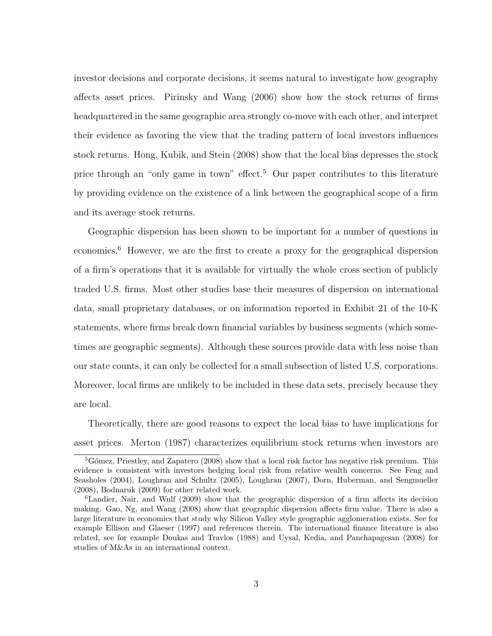investor decisions and corporate decisions, it seems natural to investigate how geography affects asset prices. Pirinsky and Wang (2006) show how the stock returns of firms headquartered in the same geographic area strongly co-move with each other, and interpret their evidence as favoring the view that the trading pattern of local investors influences stock returns. Hong, Kubik, and Stein (2008) show that the local bias depresses the stock price through an "only game in town" effect.<sup>5</sup> Our paper contributes to this literature by providing evidence on the existence of a link between the geographical scope of a firm and its average stock returns.

Geographic dispersion has been shown to be important for a number of questions in economics.<sup>6</sup> However, we are the first to create a proxy for the geographical dispersion of a firm's operations that it is available for virtually the whole cross section of publicly traded U.S. firms. Most other studies base their measures of dispersion on international data, small proprietary databases, or on information reported in Exhibit 21 of the 10 K statements, where firms break down financial variables by business segments (which sometimes are geographic segments). Although these sources provide data with less noise than our state counts, it can only be collected for a small subsection of listed U.S. corporations. Moreover, local firms are unlikely to be included in these data sets, precisely because they are local.

Theoretically, there are good reasons to expect the local bias to have implications for asset prices. Merton (1987) characterizes equilibrium stock returns when investors are

 ${}^5$ Gómez, Priestley, and Zapatero (2008) show that a local risk factor has negative risk premium. This evidence is consistent with investors hedging local risk from relative wealth concerns. See Feng and Seasholes (2004), Loughran and Schultz (2005), Loughran (2007), Dorn, Huberman, and Sengmueller (2008), Bodnaruk (2009) for other related work.

<sup>6</sup>Landier, Nair, and Wulf (2009) show that the geographic dispersion of a firm affects its decision making. Gao, Ng, and Wang (2008) show that geographic dispersion affects firm value. There is also a large literature in economics that study why Silicon Valley style geographic agglomeration exists. See for example Ellison and Glaeser (1997) and references therein. The international finance literature is also related, see for example Doukas and Travlos (1988) and Uysal, Kedia, and Panchapagesan (2008) for studies of M&As in an international context.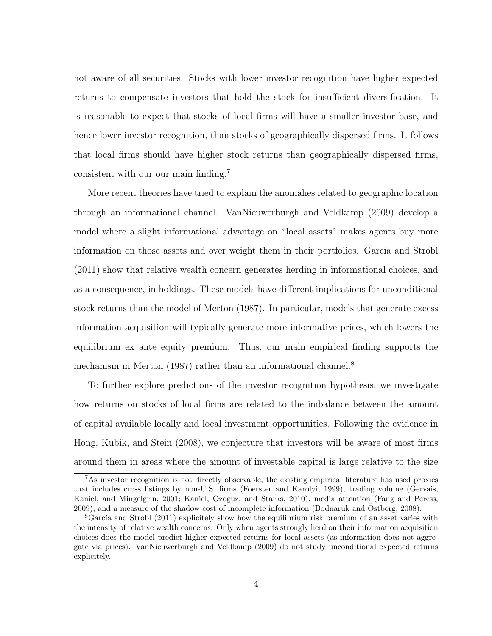not aware of all securities. Stocks with lower investor recognition have higher expected returns to compensate investors that hold the stock for insufficient diversification. It is reasonable to expect that stocks of local firms will have a smaller investor base, and hence lower investor recognition, than stocks of geographically dispersed firms. It follows that local firms should have higher stock returns than geographically dispersed firms, consistent with our our main finding.<sup>7</sup>

More recent theories have tried to explain the anomalies related to geographic location through an informational channel. VanNieuwerburgh and Veldkamp (2009) develop a model where a slight informational advantage on "local assets" makes agents buy more information on those assets and over weight them in their portfolios. García and Strobl (2011) show that relative wealth concern generates herding in informational choices, and as a consequence, in holdings. These models have different implications for unconditional stock returns than the model of Merton (1987). In particular, models that generate excess information acquisition will typically generate more informative prices, which lowers the equilibrium ex ante equity premium. Thus, our main empirical finding supports the mechanism in Merton (1987) rather than an informational channel.<sup>8</sup>

To further explore predictions of the investor recognition hypothesis, we investigate how returns on stocks of local firms are related to the imbalance between the amount of capital available locally and local investment opportunities. Following the evidence in Hong, Kubik, and Stein (2008), we conjecture that investors will be aware of most firms around them in areas where the amount of investable capital is large relative to the size

<sup>7</sup>As investor recognition is not directly observable, the existing empirical literature has used proxies that includes cross listings by non-U.S. firms (Foerster and Karolyi, 1999), trading volume (Gervais, Kaniel, and Mingelgrin, 2001; Kaniel, Ozoguz, and Starks, 2010), media attention (Fang and Peress, 2009), and a measure of the shadow cost of incomplete information (Bodnaruk and Ostberg, 2008). ¨

 ${}^8$ García and Strobl (2011) explicitely show how the equilibrium risk premium of an asset varies with the intensity of relative wealth concerns. Only when agents strongly herd on their information acquisition choices does the model predict higher expected returns for local assets (as information does not aggregate via prices). VanNieuwerburgh and Veldkamp (2009) do not study unconditional expected returns explicitely.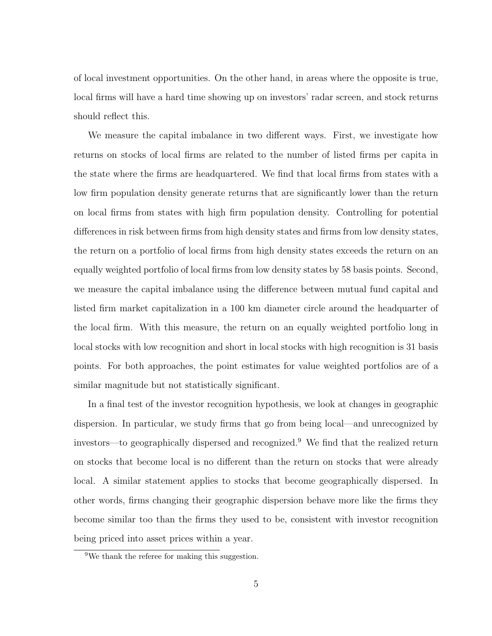of local investment opportunities. On the other hand, in areas where the opposite is true, local firms will have a hard time showing up on investors' radar screen, and stock returns should reflect this.

We measure the capital imbalance in two different ways. First, we investigate how returns on stocks of local firms are related to the number of listed firms per capita in the state where the firms are headquartered. We find that local firms from states with a low firm population density generate returns that are significantly lower than the return on local firms from states with high firm population density. Controlling for potential differences in risk between firms from high density states and firms from low density states, the return on a portfolio of local firms from high density states exceeds the return on an equally weighted portfolio of local firms from low density states by 58 basis points. Second, we measure the capital imbalance using the difference between mutual fund capital and listed firm market capitalization in a 100 km diameter circle around the headquarter of the local firm. With this measure, the return on an equally weighted portfolio long in local stocks with low recognition and short in local stocks with high recognition is 31 basis points. For both approaches, the point estimates for value weighted portfolios are of a similar magnitude but not statistically significant.

In a final test of the investor recognition hypothesis, we look at changes in geographic dispersion. In particular, we study firms that go from being local—and unrecognized by investors—to geographically dispersed and recognized.<sup>9</sup> We find that the realized return on stocks that become local is no different than the return on stocks that were already local. A similar statement applies to stocks that become geographically dispersed. In other words, firms changing their geographic dispersion behave more like the firms they become similar too than the firms they used to be, consistent with investor recognition being priced into asset prices within a year.

<sup>&</sup>lt;sup>9</sup>We thank the referee for making this suggestion.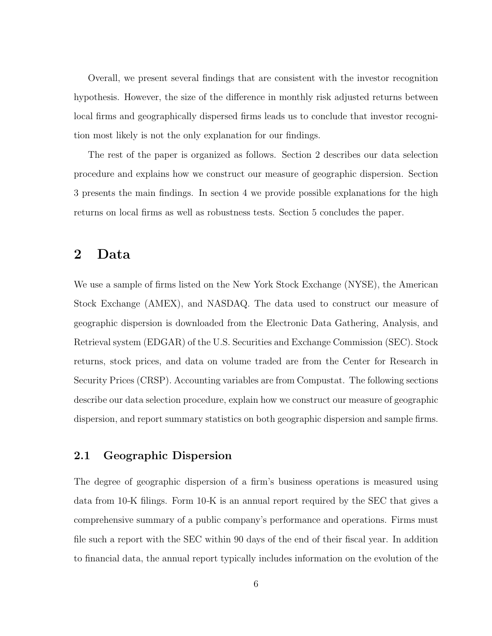Overall, we present several findings that are consistent with the investor recognition hypothesis. However, the size of the difference in monthly risk adjusted returns between local firms and geographically dispersed firms leads us to conclude that investor recognition most likely is not the only explanation for our findings.

The rest of the paper is organized as follows. Section 2 describes our data selection procedure and explains how we construct our measure of geographic dispersion. Section 3 presents the main findings. In section 4 we provide possible explanations for the high returns on local firms as well as robustness tests. Section 5 concludes the paper.

### 2 Data

We use a sample of firms listed on the New York Stock Exchange (NYSE), the American Stock Exchange (AMEX), and NASDAQ. The data used to construct our measure of geographic dispersion is downloaded from the Electronic Data Gathering, Analysis, and Retrieval system (EDGAR) of the U.S. Securities and Exchange Commission (SEC). Stock returns, stock prices, and data on volume traded are from the Center for Research in Security Prices (CRSP). Accounting variables are from Compustat. The following sections describe our data selection procedure, explain how we construct our measure of geographic dispersion, and report summary statistics on both geographic dispersion and sample firms.

### 2.1 Geographic Dispersion

The degree of geographic dispersion of a firm's business operations is measured using data from 10-K filings. Form 10-K is an annual report required by the SEC that gives a comprehensive summary of a public company's performance and operations. Firms must file such a report with the SEC within 90 days of the end of their fiscal year. In addition to financial data, the annual report typically includes information on the evolution of the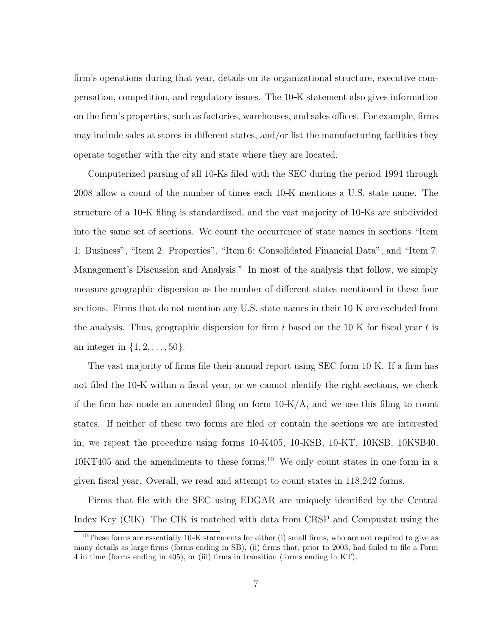firm's operations during that year, details on its organizational structure, executive compensation, competition, and regulatory issues. The 10 K statement also gives information on the firm's properties, such as factories, warehouses, and sales offices. For example, firms may include sales at stores in different states, and/or list the manufacturing facilities they operate together with the city and state where they are located.

Computerized parsing of all 10 Ks filed with the SEC during the period 1994 through 2008 allow a count of the number of times each 10 K mentions a U.S. state name. The structure of a 10-K filing is standardized, and the vast majority of 10-Ks are subdivided into the same set of sections. We count the occurrence of state names in sections "Item 1: Business", "Item 2: Properties", "Item 6: Consolidated Financial Data", and "Item 7: Management's Discussion and Analysis." In most of the analysis that follow, we simply measure geographic dispersion as the number of different states mentioned in these four sections. Firms that do not mention any U.S. state names in their  $10$ -K are excluded from the analysis. Thus, geographic dispersion for firm i based on the  $10$ -K for fiscal year t is an integer in  $\{1, 2, ..., 50\}$ .

The vast majority of firms file their annual report using SEC form 10-K. If a firm has not filed the 10-K within a fiscal year, or we cannot identify the right sections, we check if the firm has made an amended filing on form  $10-K/A$ , and we use this filing to count states. If neither of these two forms are filed or contain the sections we are interested in, we repeat the procedure using forms 10-K405, 10-KSB, 10-KT, 10KSB, 10KSB40, 10KT405 and the amendments to these forms.<sup>10</sup> We only count states in one form in a given fiscal year. Overall, we read and attempt to count states in 118,242 forms.

Firms that file with the SEC using EDGAR are uniquely identified by the Central Index Key (CIK). The CIK is matched with data from CRSP and Compustat using the

<sup>&</sup>lt;sup>10</sup>These forms are essentially 10-K statements for either (i) small firms, who are not required to give as many details as large firms (forms ending in SB), (ii) firms that, prior to 2003, had failed to file a Form 4 in time (forms ending in 405), or (iii) firms in transition (forms ending in KT).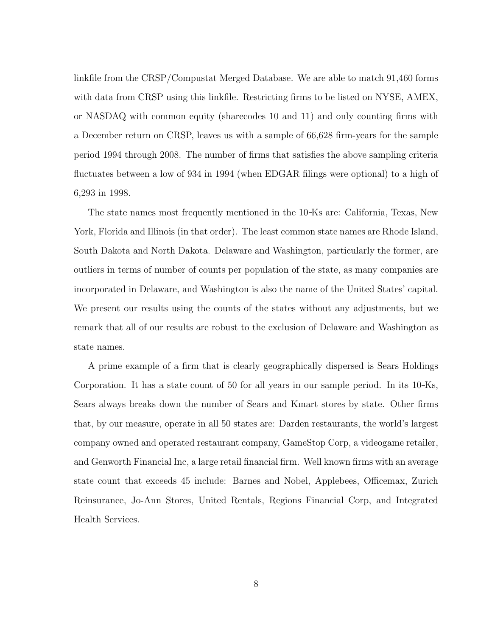linkfile from the CRSP/Compustat Merged Database. We are able to match 91,460 forms with data from CRSP using this linkfile. Restricting firms to be listed on NYSE, AMEX, or NASDAQ with common equity (sharecodes 10 and 11) and only counting firms with a December return on CRSP, leaves us with a sample of 66,628 firm-years for the sample period 1994 through 2008. The number of firms that satisfies the above sampling criteria fluctuates between a low of 934 in 1994 (when EDGAR filings were optional) to a high of 6,293 in 1998.

The state names most frequently mentioned in the 10-Ks are: California, Texas, New York, Florida and Illinois (in that order). The least common state names are Rhode Island, South Dakota and North Dakota. Delaware and Washington, particularly the former, are outliers in terms of number of counts per population of the state, as many companies are incorporated in Delaware, and Washington is also the name of the United States' capital. We present our results using the counts of the states without any adjustments, but we remark that all of our results are robust to the exclusion of Delaware and Washington as state names.

A prime example of a firm that is clearly geographically dispersed is Sears Holdings Corporation. It has a state count of 50 for all years in our sample period. In its 10 Ks, Sears always breaks down the number of Sears and Kmart stores by state. Other firms that, by our measure, operate in all 50 states are: Darden restaurants, the world's largest company owned and operated restaurant company, GameStop Corp, a videogame retailer, and Genworth Financial Inc, a large retail financial firm. Well known firms with an average state count that exceeds 45 include: Barnes and Nobel, Applebees, Officemax, Zurich Reinsurance, Jo-Ann Stores, United Rentals, Regions Financial Corp, and Integrated Health Services.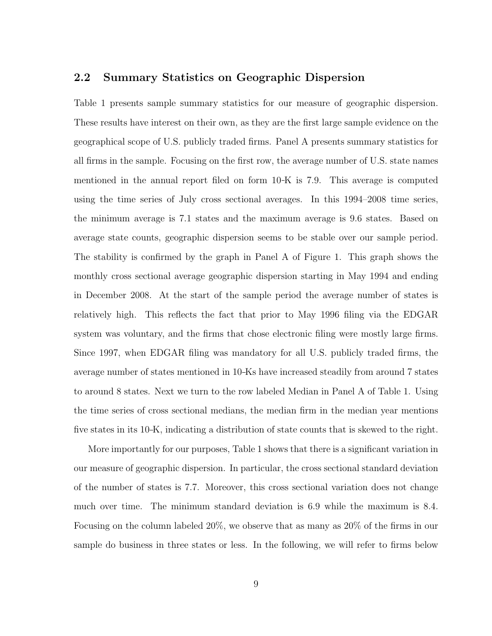#### 2.2 Summary Statistics on Geographic Dispersion

Table 1 presents sample summary statistics for our measure of geographic dispersion. These results have interest on their own, as they are the first large sample evidence on the geographical scope of U.S. publicly traded firms. Panel A presents summary statistics for all firms in the sample. Focusing on the first row, the average number of U.S. state names mentioned in the annual report filed on form  $10-K$  is 7.9. This average is computed using the time series of July cross sectional averages. In this 1994–2008 time series, the minimum average is 7.1 states and the maximum average is 9.6 states. Based on average state counts, geographic dispersion seems to be stable over our sample period. The stability is confirmed by the graph in Panel A of Figure 1. This graph shows the monthly cross sectional average geographic dispersion starting in May 1994 and ending in December 2008. At the start of the sample period the average number of states is relatively high. This reflects the fact that prior to May 1996 filing via the EDGAR system was voluntary, and the firms that chose electronic filing were mostly large firms. Since 1997, when EDGAR filing was mandatory for all U.S. publicly traded firms, the average number of states mentioned in 10 Ks have increased steadily from around 7 states to around 8 states. Next we turn to the row labeled Median in Panel A of Table 1. Using the time series of cross sectional medians, the median firm in the median year mentions five states in its 10-K, indicating a distribution of state counts that is skewed to the right.

More importantly for our purposes, Table 1 shows that there is a significant variation in our measure of geographic dispersion. In particular, the cross sectional standard deviation of the number of states is 7.7. Moreover, this cross sectional variation does not change much over time. The minimum standard deviation is 6.9 while the maximum is 8.4. Focusing on the column labeled 20%, we observe that as many as 20% of the firms in our sample do business in three states or less. In the following, we will refer to firms below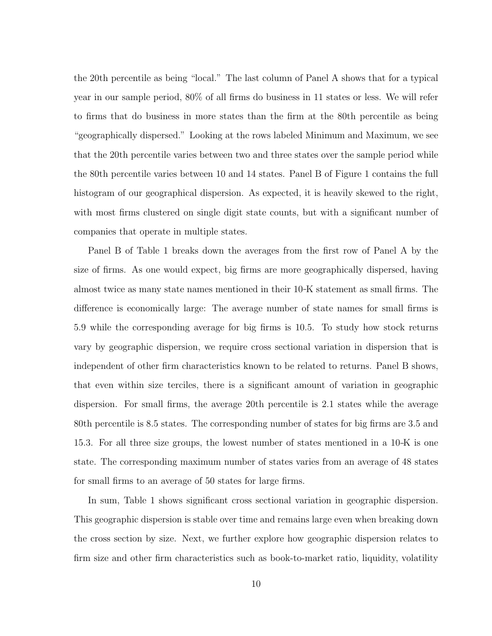the 20th percentile as being "local." The last column of Panel A shows that for a typical year in our sample period, 80% of all firms do business in 11 states or less. We will refer to firms that do business in more states than the firm at the 80th percentile as being "geographically dispersed." Looking at the rows labeled Minimum and Maximum, we see that the 20th percentile varies between two and three states over the sample period while the 80th percentile varies between 10 and 14 states. Panel B of Figure 1 contains the full histogram of our geographical dispersion. As expected, it is heavily skewed to the right, with most firms clustered on single digit state counts, but with a significant number of companies that operate in multiple states.

Panel B of Table 1 breaks down the averages from the first row of Panel A by the size of firms. As one would expect, big firms are more geographically dispersed, having almost twice as many state names mentioned in their 10 K statement as small firms. The difference is economically large: The average number of state names for small firms is 5.9 while the corresponding average for big firms is 10.5. To study how stock returns vary by geographic dispersion, we require cross sectional variation in dispersion that is independent of other firm characteristics known to be related to returns. Panel B shows, that even within size terciles, there is a significant amount of variation in geographic dispersion. For small firms, the average 20th percentile is 2.1 states while the average 80th percentile is 8.5 states. The corresponding number of states for big firms are 3.5 and 15.3. For all three size groups, the lowest number of states mentioned in a 10 K is one state. The corresponding maximum number of states varies from an average of 48 states for small firms to an average of 50 states for large firms.

In sum, Table 1 shows significant cross sectional variation in geographic dispersion. This geographic dispersion is stable over time and remains large even when breaking down the cross section by size. Next, we further explore how geographic dispersion relates to firm size and other firm characteristics such as book-to-market ratio, liquidity, volatility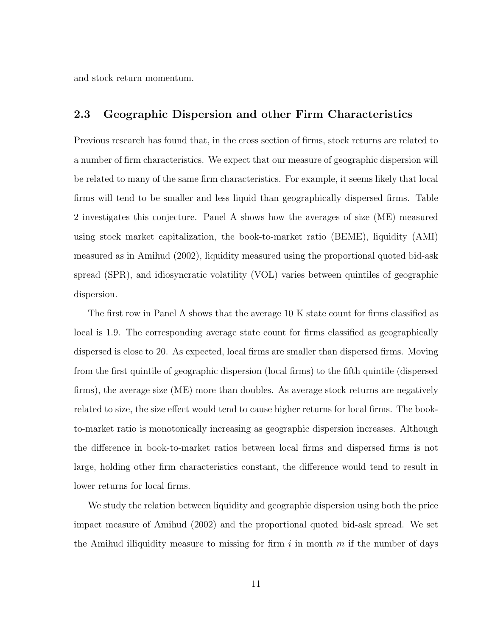and stock return momentum.

#### 2.3 Geographic Dispersion and other Firm Characteristics

Previous research has found that, in the cross section of firms, stock returns are related to a number of firm characteristics. We expect that our measure of geographic dispersion will be related to many of the same firm characteristics. For example, it seems likely that local firms will tend to be smaller and less liquid than geographically dispersed firms. Table 2 investigates this conjecture. Panel A shows how the averages of size (ME) measured using stock market capitalization, the book-to-market ratio (BEME), liquidity (AMI) measured as in Amihud (2002), liquidity measured using the proportional quoted bid-ask spread (SPR), and idiosyncratic volatility (VOL) varies between quintiles of geographic dispersion.

The first row in Panel A shows that the average 10 K state count for firms classified as local is 1.9. The corresponding average state count for firms classified as geographically dispersed is close to 20. As expected, local firms are smaller than dispersed firms. Moving from the first quintile of geographic dispersion (local firms) to the fifth quintile (dispersed firms), the average size (ME) more than doubles. As average stock returns are negatively related to size, the size effect would tend to cause higher returns for local firms. The bookto-market ratio is monotonically increasing as geographic dispersion increases. Although the difference in book-to-market ratios between local firms and dispersed firms is not large, holding other firm characteristics constant, the difference would tend to result in lower returns for local firms.

We study the relation between liquidity and geographic dispersion using both the price impact measure of Amihud (2002) and the proportional quoted bid-ask spread. We set the Amihud illiquidity measure to missing for firm i in month m if the number of days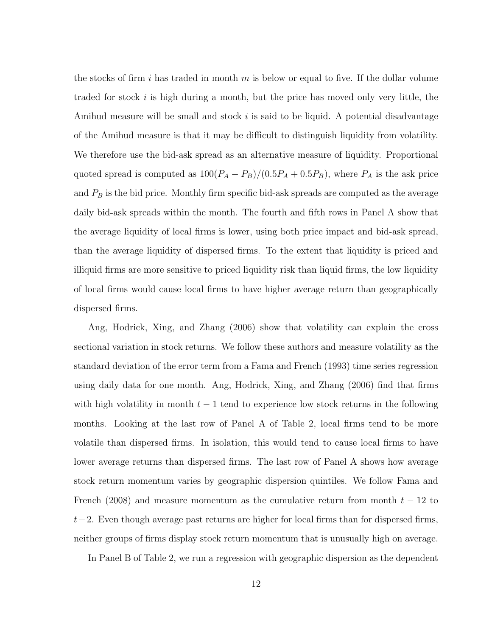the stocks of firm i has traded in month  $m$  is below or equal to five. If the dollar volume traded for stock  $i$  is high during a month, but the price has moved only very little, the Amihud measure will be small and stock i is said to be liquid. A potential disadvantage of the Amihud measure is that it may be difficult to distinguish liquidity from volatility. We therefore use the bid-ask spread as an alternative measure of liquidity. Proportional quoted spread is computed as  $100(P_A - P_B)/(0.5P_A + 0.5P_B)$ , where  $P_A$  is the ask price and  $P_B$  is the bid price. Monthly firm specific bid-ask spreads are computed as the average daily bid-ask spreads within the month. The fourth and fifth rows in Panel A show that the average liquidity of local firms is lower, using both price impact and bid-ask spread, than the average liquidity of dispersed firms. To the extent that liquidity is priced and illiquid firms are more sensitive to priced liquidity risk than liquid firms, the low liquidity of local firms would cause local firms to have higher average return than geographically dispersed firms.

Ang, Hodrick, Xing, and Zhang (2006) show that volatility can explain the cross sectional variation in stock returns. We follow these authors and measure volatility as the standard deviation of the error term from a Fama and French (1993) time series regression using daily data for one month. Ang, Hodrick, Xing, and Zhang (2006) find that firms with high volatility in month  $t - 1$  tend to experience low stock returns in the following months. Looking at the last row of Panel A of Table 2, local firms tend to be more volatile than dispersed firms. In isolation, this would tend to cause local firms to have lower average returns than dispersed firms. The last row of Panel A shows how average stock return momentum varies by geographic dispersion quintiles. We follow Fama and French (2008) and measure momentum as the cumulative return from month  $t - 12$  to  $t-2$ . Even though average past returns are higher for local firms than for dispersed firms, neither groups of firms display stock return momentum that is unusually high on average.

In Panel B of Table 2, we run a regression with geographic dispersion as the dependent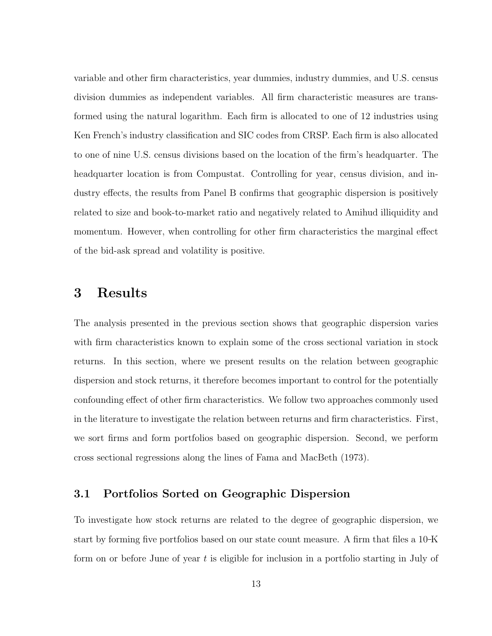variable and other firm characteristics, year dummies, industry dummies, and U.S. census division dummies as independent variables. All firm characteristic measures are transformed using the natural logarithm. Each firm is allocated to one of 12 industries using Ken French's industry classification and SIC codes from CRSP. Each firm is also allocated to one of nine U.S. census divisions based on the location of the firm's headquarter. The headquarter location is from Compustat. Controlling for year, census division, and industry effects, the results from Panel B confirms that geographic dispersion is positively related to size and book-to-market ratio and negatively related to Amihud illiquidity and momentum. However, when controlling for other firm characteristics the marginal effect of the bid-ask spread and volatility is positive.

## 3 Results

The analysis presented in the previous section shows that geographic dispersion varies with firm characteristics known to explain some of the cross sectional variation in stock returns. In this section, where we present results on the relation between geographic dispersion and stock returns, it therefore becomes important to control for the potentially confounding effect of other firm characteristics. We follow two approaches commonly used in the literature to investigate the relation between returns and firm characteristics. First, we sort firms and form portfolios based on geographic dispersion. Second, we perform cross sectional regressions along the lines of Fama and MacBeth (1973).

### 3.1 Portfolios Sorted on Geographic Dispersion

To investigate how stock returns are related to the degree of geographic dispersion, we start by forming five portfolios based on our state count measure. A firm that files a 10 K form on or before June of year t is eligible for inclusion in a portfolio starting in July of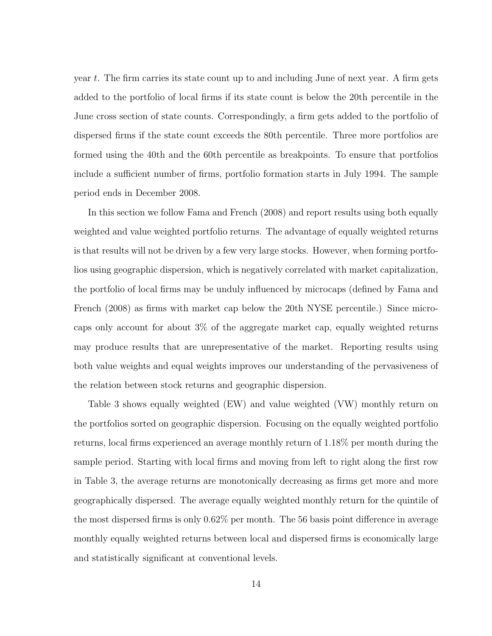year  $t$ . The firm carries its state count up to and including June of next year. A firm gets added to the portfolio of local firms if its state count is below the 20th percentile in the June cross section of state counts. Correspondingly, a firm gets added to the portfolio of dispersed firms if the state count exceeds the 80th percentile. Three more portfolios are formed using the 40th and the 60th percentile as breakpoints. To ensure that portfolios include a sufficient number of firms, portfolio formation starts in July 1994. The sample period ends in December 2008.

In this section we follow Fama and French (2008) and report results using both equally weighted and value weighted portfolio returns. The advantage of equally weighted returns is that results will not be driven by a few very large stocks. However, when forming portfolios using geographic dispersion, which is negatively correlated with market capitalization, the portfolio of local firms may be unduly influenced by microcaps (defined by Fama and French (2008) as firms with market cap below the 20th NYSE percentile.) Since microcaps only account for about 3% of the aggregate market cap, equally weighted returns may produce results that are unrepresentative of the market. Reporting results using both value weights and equal weights improves our understanding of the pervasiveness of the relation between stock returns and geographic dispersion.

Table 3 shows equally weighted (EW) and value weighted (VW) monthly return on the portfolios sorted on geographic dispersion. Focusing on the equally weighted portfolio returns, local firms experienced an average monthly return of 1.18% per month during the sample period. Starting with local firms and moving from left to right along the first row in Table 3, the average returns are monotonically decreasing as firms get more and more geographically dispersed. The average equally weighted monthly return for the quintile of the most dispersed firms is only 0.62% per month. The 56 basis point difference in average monthly equally weighted returns between local and dispersed firms is economically large and statistically significant at conventional levels.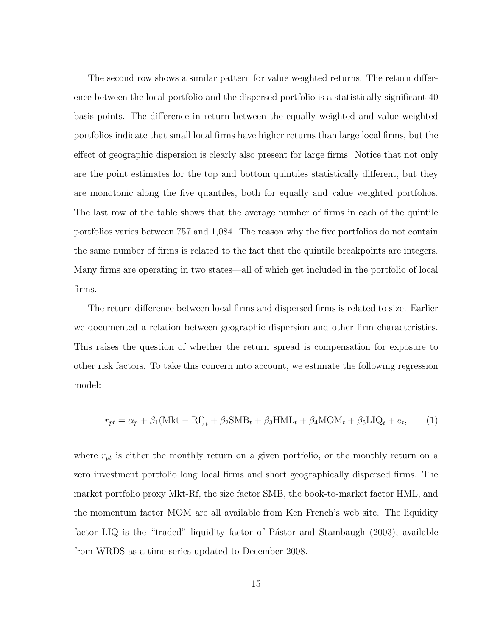The second row shows a similar pattern for value weighted returns. The return difference between the local portfolio and the dispersed portfolio is a statistically significant 40 basis points. The difference in return between the equally weighted and value weighted portfolios indicate that small local firms have higher returns than large local firms, but the effect of geographic dispersion is clearly also present for large firms. Notice that not only are the point estimates for the top and bottom quintiles statistically different, but they are monotonic along the five quantiles, both for equally and value weighted portfolios. The last row of the table shows that the average number of firms in each of the quintile portfolios varies between 757 and 1,084. The reason why the five portfolios do not contain the same number of firms is related to the fact that the quintile breakpoints are integers. Many firms are operating in two states—all of which get included in the portfolio of local firms.

The return difference between local firms and dispersed firms is related to size. Earlier we documented a relation between geographic dispersion and other firm characteristics. This raises the question of whether the return spread is compensation for exposure to other risk factors. To take this concern into account, we estimate the following regression model:

$$
r_{pt} = \alpha_p + \beta_1(\text{Mkt} - \text{Rf})_t + \beta_2 \text{SMB}_t + \beta_3 \text{HML}_t + \beta_4 \text{MOM}_t + \beta_5 \text{LIQ}_t + e_t, \qquad (1)
$$

where  $r_{pt}$  is either the monthly return on a given portfolio, or the monthly return on a zero investment portfolio long local firms and short geographically dispersed firms. The market portfolio proxy Mkt-Rf, the size factor SMB, the book-to-market factor HML, and the momentum factor MOM are all available from Ken French's web site. The liquidity factor  $LIQ$  is the "traded" liquidity factor of Pástor and Stambaugh (2003), available from WRDS as a time series updated to December 2008.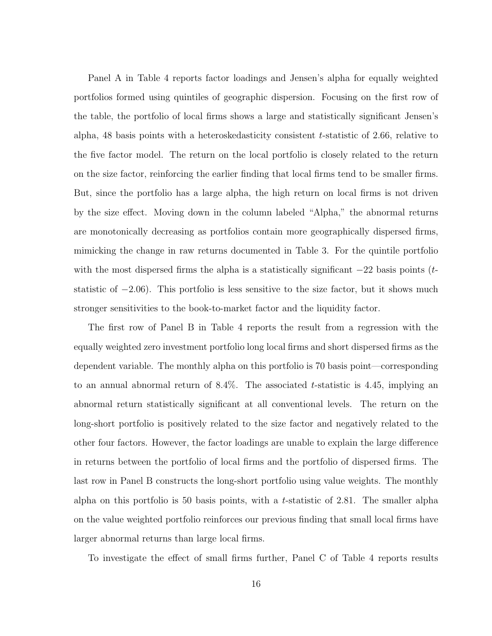Panel A in Table 4 reports factor loadings and Jensen's alpha for equally weighted portfolios formed using quintiles of geographic dispersion. Focusing on the first row of the table, the portfolio of local firms shows a large and statistically significant Jensen's alpha, 48 basis points with a heteroskedasticity consistent t-statistic of 2.66, relative to the five factor model. The return on the local portfolio is closely related to the return on the size factor, reinforcing the earlier finding that local firms tend to be smaller firms. But, since the portfolio has a large alpha, the high return on local firms is not driven by the size effect. Moving down in the column labeled "Alpha," the abnormal returns are monotonically decreasing as portfolios contain more geographically dispersed firms, mimicking the change in raw returns documented in Table 3. For the quintile portfolio with the most dispersed firms the alpha is a statistically significant  $-22$  basis points (tstatistic of  $-2.06$ ). This portfolio is less sensitive to the size factor, but it shows much stronger sensitivities to the book-to-market factor and the liquidity factor.

The first row of Panel B in Table 4 reports the result from a regression with the equally weighted zero investment portfolio long local firms and short dispersed firms as the dependent variable. The monthly alpha on this portfolio is 70 basis point—corresponding to an annual abnormal return of  $8.4\%$ . The associated t-statistic is 4.45, implying an abnormal return statistically significant at all conventional levels. The return on the long-short portfolio is positively related to the size factor and negatively related to the other four factors. However, the factor loadings are unable to explain the large difference in returns between the portfolio of local firms and the portfolio of dispersed firms. The last row in Panel B constructs the long-short portfolio using value weights. The monthly alpha on this portfolio is 50 basis points, with a t-statistic of 2.81. The smaller alpha on the value weighted portfolio reinforces our previous finding that small local firms have larger abnormal returns than large local firms.

To investigate the effect of small firms further, Panel C of Table 4 reports results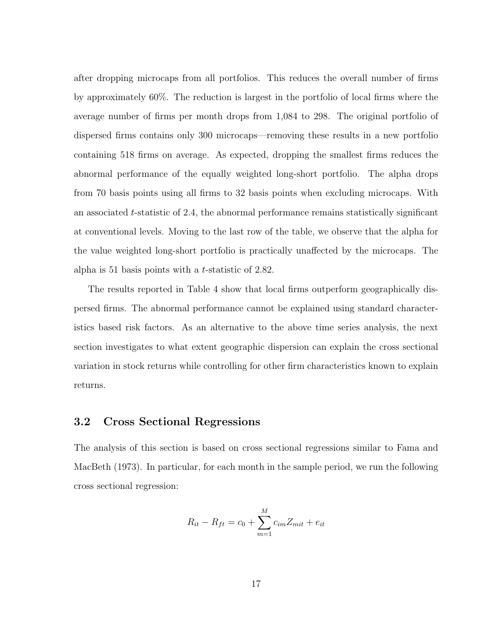after dropping microcaps from all portfolios. This reduces the overall number of firms by approximately 60%. The reduction is largest in the portfolio of local firms where the average number of firms per month drops from 1,084 to 298. The original portfolio of dispersed firms contains only 300 microcaps—removing these results in a new portfolio containing 518 firms on average. As expected, dropping the smallest firms reduces the abnormal performance of the equally weighted long-short portfolio. The alpha drops from 70 basis points using all firms to 32 basis points when excluding microcaps. With an associated t-statistic of 2.4, the abnormal performance remains statistically significant at conventional levels. Moving to the last row of the table, we observe that the alpha for the value weighted long-short portfolio is practically unaffected by the microcaps. The alpha is 51 basis points with a t-statistic of 2.82.

The results reported in Table 4 show that local firms outperform geographically dispersed firms. The abnormal performance cannot be explained using standard characteristics based risk factors. As an alternative to the above time series analysis, the next section investigates to what extent geographic dispersion can explain the cross sectional variation in stock returns while controlling for other firm characteristics known to explain returns.

#### 3.2 Cross Sectional Regressions

The analysis of this section is based on cross sectional regressions similar to Fama and MacBeth (1973). In particular, for each month in the sample period, we run the following cross sectional regression:

$$
R_{it} - R_{ft} = c_0 + \sum_{m=1}^{M} c_{im} Z_{mit} + e_{it}
$$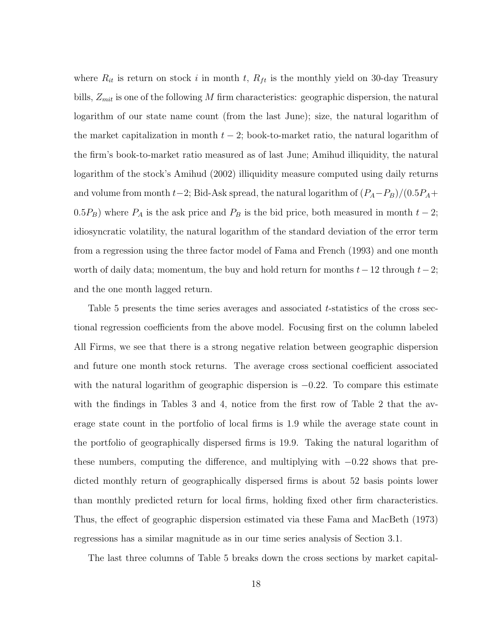where  $R_{it}$  is return on stock i in month t,  $R_{ft}$  is the monthly yield on 30-day Treasury bills,  $Z_{mit}$  is one of the following M firm characteristics: geographic dispersion, the natural logarithm of our state name count (from the last June); size, the natural logarithm of the market capitalization in month  $t - 2$ ; book-to-market ratio, the natural logarithm of the firm's book-to-market ratio measured as of last June; Amihud illiquidity, the natural logarithm of the stock's Amihud (2002) illiquidity measure computed using daily returns and volume from month  $t-2$ ; Bid-Ask spread, the natural logarithm of  $\frac{(P_A-P_B)}{(0.5P_A+P_B)}$ 0.5 $P_B$ ) where  $P_A$  is the ask price and  $P_B$  is the bid price, both measured in month  $t - 2$ ; idiosyncratic volatility, the natural logarithm of the standard deviation of the error term from a regression using the three factor model of Fama and French (1993) and one month worth of daily data; momentum, the buy and hold return for months  $t-12$  through  $t-2$ ; and the one month lagged return.

Table 5 presents the time series averages and associated t-statistics of the cross sectional regression coefficients from the above model. Focusing first on the column labeled All Firms, we see that there is a strong negative relation between geographic dispersion and future one month stock returns. The average cross sectional coefficient associated with the natural logarithm of geographic dispersion is  $-0.22$ . To compare this estimate with the findings in Tables 3 and 4, notice from the first row of Table 2 that the average state count in the portfolio of local firms is 1.9 while the average state count in the portfolio of geographically dispersed firms is 19.9. Taking the natural logarithm of these numbers, computing the difference, and multiplying with  $-0.22$  shows that predicted monthly return of geographically dispersed firms is about 52 basis points lower than monthly predicted return for local firms, holding fixed other firm characteristics. Thus, the effect of geographic dispersion estimated via these Fama and MacBeth (1973) regressions has a similar magnitude as in our time series analysis of Section 3.1.

The last three columns of Table 5 breaks down the cross sections by market capital-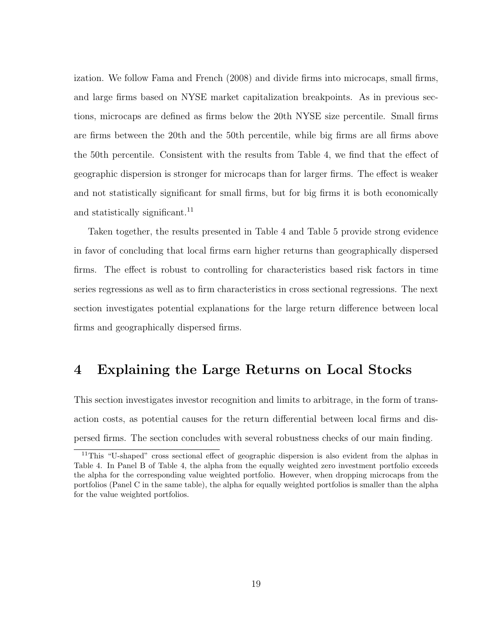ization. We follow Fama and French (2008) and divide firms into microcaps, small firms, and large firms based on NYSE market capitalization breakpoints. As in previous sections, microcaps are defined as firms below the 20th NYSE size percentile. Small firms are firms between the 20th and the 50th percentile, while big firms are all firms above the 50th percentile. Consistent with the results from Table 4, we find that the effect of geographic dispersion is stronger for microcaps than for larger firms. The effect is weaker and not statistically significant for small firms, but for big firms it is both economically and statistically significant.<sup>11</sup>

Taken together, the results presented in Table 4 and Table 5 provide strong evidence in favor of concluding that local firms earn higher returns than geographically dispersed firms. The effect is robust to controlling for characteristics based risk factors in time series regressions as well as to firm characteristics in cross sectional regressions. The next section investigates potential explanations for the large return difference between local firms and geographically dispersed firms.

## 4 Explaining the Large Returns on Local Stocks

This section investigates investor recognition and limits to arbitrage, in the form of transaction costs, as potential causes for the return differential between local firms and dispersed firms. The section concludes with several robustness checks of our main finding.

<sup>&</sup>lt;sup>11</sup>This "U-shaped" cross sectional effect of geographic dispersion is also evident from the alphas in Table 4. In Panel B of Table 4, the alpha from the equally weighted zero investment portfolio exceeds the alpha for the corresponding value weighted portfolio. However, when dropping microcaps from the portfolios (Panel C in the same table), the alpha for equally weighted portfolios is smaller than the alpha for the value weighted portfolios.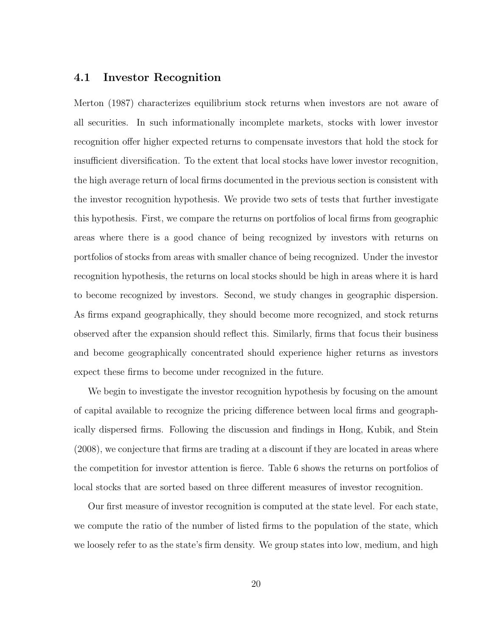### 4.1 Investor Recognition

Merton (1987) characterizes equilibrium stock returns when investors are not aware of all securities. In such informationally incomplete markets, stocks with lower investor recognition offer higher expected returns to compensate investors that hold the stock for insufficient diversification. To the extent that local stocks have lower investor recognition, the high average return of local firms documented in the previous section is consistent with the investor recognition hypothesis. We provide two sets of tests that further investigate this hypothesis. First, we compare the returns on portfolios of local firms from geographic areas where there is a good chance of being recognized by investors with returns on portfolios of stocks from areas with smaller chance of being recognized. Under the investor recognition hypothesis, the returns on local stocks should be high in areas where it is hard to become recognized by investors. Second, we study changes in geographic dispersion. As firms expand geographically, they should become more recognized, and stock returns observed after the expansion should reflect this. Similarly, firms that focus their business and become geographically concentrated should experience higher returns as investors expect these firms to become under recognized in the future.

We begin to investigate the investor recognition hypothesis by focusing on the amount of capital available to recognize the pricing difference between local firms and geographically dispersed firms. Following the discussion and findings in Hong, Kubik, and Stein (2008), we conjecture that firms are trading at a discount if they are located in areas where the competition for investor attention is fierce. Table 6 shows the returns on portfolios of local stocks that are sorted based on three different measures of investor recognition.

Our first measure of investor recognition is computed at the state level. For each state, we compute the ratio of the number of listed firms to the population of the state, which we loosely refer to as the state's firm density. We group states into low, medium, and high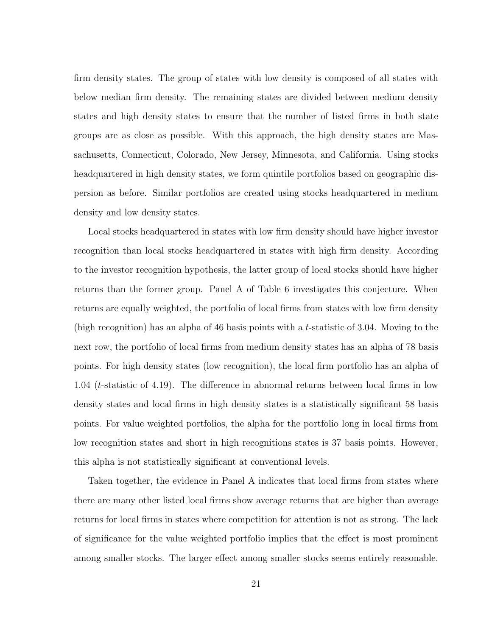firm density states. The group of states with low density is composed of all states with below median firm density. The remaining states are divided between medium density states and high density states to ensure that the number of listed firms in both state groups are as close as possible. With this approach, the high density states are Massachusetts, Connecticut, Colorado, New Jersey, Minnesota, and California. Using stocks headquartered in high density states, we form quintile portfolios based on geographic dispersion as before. Similar portfolios are created using stocks headquartered in medium density and low density states.

Local stocks headquartered in states with low firm density should have higher investor recognition than local stocks headquartered in states with high firm density. According to the investor recognition hypothesis, the latter group of local stocks should have higher returns than the former group. Panel A of Table 6 investigates this conjecture. When returns are equally weighted, the portfolio of local firms from states with low firm density (high recognition) has an alpha of 46 basis points with a t-statistic of 3.04. Moving to the next row, the portfolio of local firms from medium density states has an alpha of 78 basis points. For high density states (low recognition), the local firm portfolio has an alpha of 1.04 (t-statistic of 4.19). The difference in abnormal returns between local firms in low density states and local firms in high density states is a statistically significant 58 basis points. For value weighted portfolios, the alpha for the portfolio long in local firms from low recognition states and short in high recognitions states is 37 basis points. However, this alpha is not statistically significant at conventional levels.

Taken together, the evidence in Panel A indicates that local firms from states where there are many other listed local firms show average returns that are higher than average returns for local firms in states where competition for attention is not as strong. The lack of significance for the value weighted portfolio implies that the effect is most prominent among smaller stocks. The larger effect among smaller stocks seems entirely reasonable.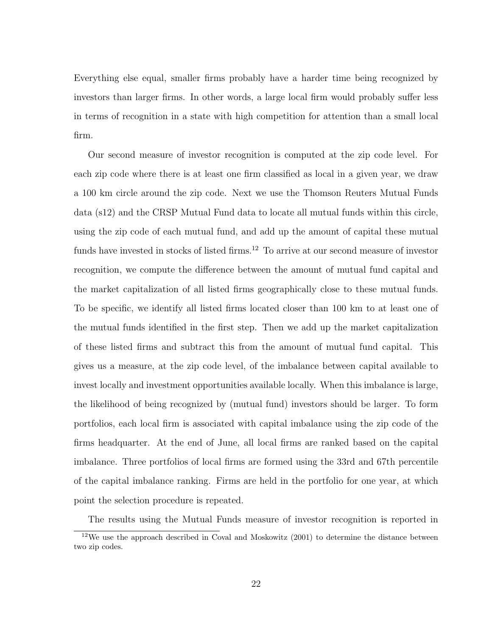Everything else equal, smaller firms probably have a harder time being recognized by investors than larger firms. In other words, a large local firm would probably suffer less in terms of recognition in a state with high competition for attention than a small local firm.

Our second measure of investor recognition is computed at the zip code level. For each zip code where there is at least one firm classified as local in a given year, we draw a 100 km circle around the zip code. Next we use the Thomson Reuters Mutual Funds data (s12) and the CRSP Mutual Fund data to locate all mutual funds within this circle, using the zip code of each mutual fund, and add up the amount of capital these mutual funds have invested in stocks of listed firms.<sup>12</sup> To arrive at our second measure of investor recognition, we compute the difference between the amount of mutual fund capital and the market capitalization of all listed firms geographically close to these mutual funds. To be specific, we identify all listed firms located closer than 100 km to at least one of the mutual funds identified in the first step. Then we add up the market capitalization of these listed firms and subtract this from the amount of mutual fund capital. This gives us a measure, at the zip code level, of the imbalance between capital available to invest locally and investment opportunities available locally. When this imbalance is large, the likelihood of being recognized by (mutual fund) investors should be larger. To form portfolios, each local firm is associated with capital imbalance using the zip code of the firms headquarter. At the end of June, all local firms are ranked based on the capital imbalance. Three portfolios of local firms are formed using the 33rd and 67th percentile of the capital imbalance ranking. Firms are held in the portfolio for one year, at which point the selection procedure is repeated.

The results using the Mutual Funds measure of investor recognition is reported in

 $12$ We use the approach described in Coval and Moskowitz (2001) to determine the distance between two zip codes.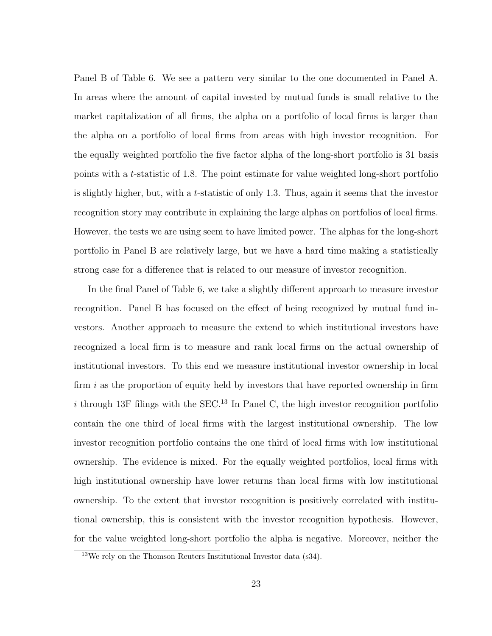Panel B of Table 6. We see a pattern very similar to the one documented in Panel A. In areas where the amount of capital invested by mutual funds is small relative to the market capitalization of all firms, the alpha on a portfolio of local firms is larger than the alpha on a portfolio of local firms from areas with high investor recognition. For the equally weighted portfolio the five factor alpha of the long-short portfolio is 31 basis points with a t-statistic of 1.8. The point estimate for value weighted long-short portfolio is slightly higher, but, with a t-statistic of only 1.3. Thus, again it seems that the investor recognition story may contribute in explaining the large alphas on portfolios of local firms. However, the tests we are using seem to have limited power. The alphas for the long-short portfolio in Panel B are relatively large, but we have a hard time making a statistically strong case for a difference that is related to our measure of investor recognition.

In the final Panel of Table 6, we take a slightly different approach to measure investor recognition. Panel B has focused on the effect of being recognized by mutual fund investors. Another approach to measure the extend to which institutional investors have recognized a local firm is to measure and rank local firms on the actual ownership of institutional investors. To this end we measure institutional investor ownership in local firm  $i$  as the proportion of equity held by investors that have reported ownership in firm i through 13F filings with the SEC.<sup>13</sup> In Panel C, the high investor recognition portfolio contain the one third of local firms with the largest institutional ownership. The low investor recognition portfolio contains the one third of local firms with low institutional ownership. The evidence is mixed. For the equally weighted portfolios, local firms with high institutional ownership have lower returns than local firms with low institutional ownership. To the extent that investor recognition is positively correlated with institutional ownership, this is consistent with the investor recognition hypothesis. However, for the value weighted long-short portfolio the alpha is negative. Moreover, neither the

<sup>13</sup>We rely on the Thomson Reuters Institutional Investor data (s34).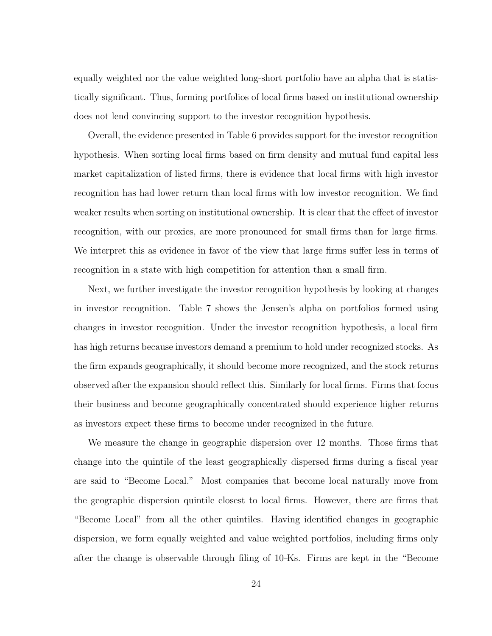equally weighted nor the value weighted long-short portfolio have an alpha that is statistically significant. Thus, forming portfolios of local firms based on institutional ownership does not lend convincing support to the investor recognition hypothesis.

Overall, the evidence presented in Table 6 provides support for the investor recognition hypothesis. When sorting local firms based on firm density and mutual fund capital less market capitalization of listed firms, there is evidence that local firms with high investor recognition has had lower return than local firms with low investor recognition. We find weaker results when sorting on institutional ownership. It is clear that the effect of investor recognition, with our proxies, are more pronounced for small firms than for large firms. We interpret this as evidence in favor of the view that large firms suffer less in terms of recognition in a state with high competition for attention than a small firm.

Next, we further investigate the investor recognition hypothesis by looking at changes in investor recognition. Table 7 shows the Jensen's alpha on portfolios formed using changes in investor recognition. Under the investor recognition hypothesis, a local firm has high returns because investors demand a premium to hold under recognized stocks. As the firm expands geographically, it should become more recognized, and the stock returns observed after the expansion should reflect this. Similarly for local firms. Firms that focus their business and become geographically concentrated should experience higher returns as investors expect these firms to become under recognized in the future.

We measure the change in geographic dispersion over 12 months. Those firms that change into the quintile of the least geographically dispersed firms during a fiscal year are said to "Become Local." Most companies that become local naturally move from the geographic dispersion quintile closest to local firms. However, there are firms that "Become Local" from all the other quintiles. Having identified changes in geographic dispersion, we form equally weighted and value weighted portfolios, including firms only after the change is observable through filing of 10 Ks. Firms are kept in the "Become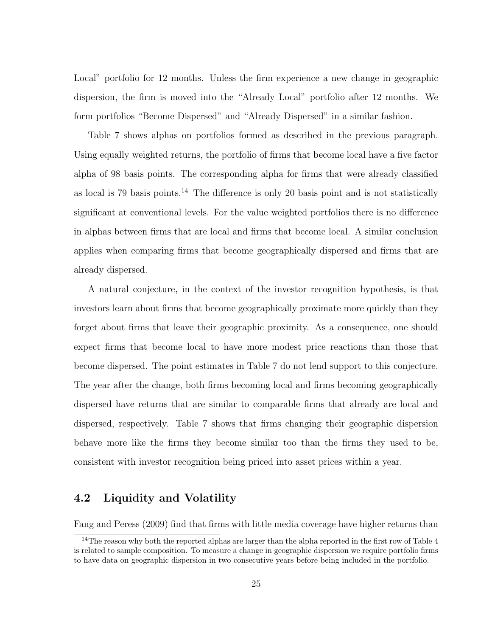Local" portfolio for 12 months. Unless the firm experience a new change in geographic dispersion, the firm is moved into the "Already Local" portfolio after 12 months. We form portfolios "Become Dispersed" and "Already Dispersed" in a similar fashion.

Table 7 shows alphas on portfolios formed as described in the previous paragraph. Using equally weighted returns, the portfolio of firms that become local have a five factor alpha of 98 basis points. The corresponding alpha for firms that were already classified as local is 79 basis points.<sup>14</sup> The difference is only 20 basis point and is not statistically significant at conventional levels. For the value weighted portfolios there is no difference in alphas between firms that are local and firms that become local. A similar conclusion applies when comparing firms that become geographically dispersed and firms that are already dispersed.

A natural conjecture, in the context of the investor recognition hypothesis, is that investors learn about firms that become geographically proximate more quickly than they forget about firms that leave their geographic proximity. As a consequence, one should expect firms that become local to have more modest price reactions than those that become dispersed. The point estimates in Table 7 do not lend support to this conjecture. The year after the change, both firms becoming local and firms becoming geographically dispersed have returns that are similar to comparable firms that already are local and dispersed, respectively. Table 7 shows that firms changing their geographic dispersion behave more like the firms they become similar too than the firms they used to be, consistent with investor recognition being priced into asset prices within a year.

### 4.2 Liquidity and Volatility

Fang and Peress (2009) find that firms with little media coverage have higher returns than

<sup>&</sup>lt;sup>14</sup>The reason why both the reported alphas are larger than the alpha reported in the first row of Table 4 is related to sample composition. To measure a change in geographic dispersion we require portfolio firms to have data on geographic dispersion in two consecutive years before being included in the portfolio.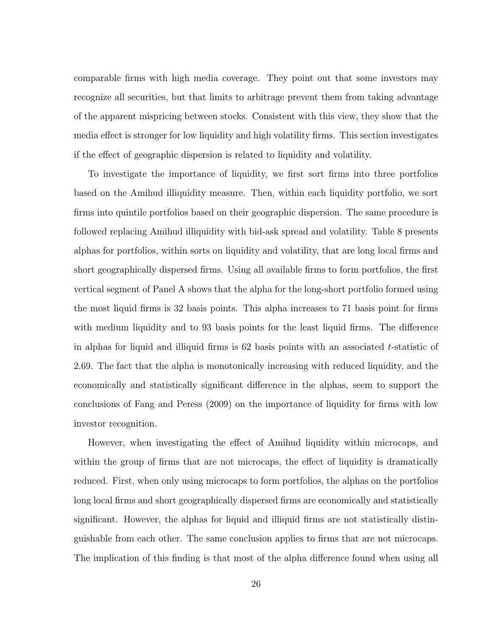comparable firms with high media coverage. They point out that some investors may recognize all securities, but that limits to arbitrage prevent them from taking advantage of the apparent mispricing between stocks. Consistent with this view, they show that the media effect is stronger for low liquidity and high volatility firms. This section investigates if the effect of geographic dispersion is related to liquidity and volatility.

To investigate the importance of liquidity, we first sort firms into three portfolios based on the Amihud illiquidity measure. Then, within each liquidity portfolio, we sort firms into quintile portfolios based on their geographic dispersion. The same procedure is followed replacing Amihud illiquidity with bid-ask spread and volatility. Table 8 presents alphas for portfolios, within sorts on liquidity and volatility, that are long local firms and short geographically dispersed firms. Using all available firms to form portfolios, the first vertical segment of Panel A shows that the alpha for the long-short portfolio formed using the most liquid firms is 32 basis points. This alpha increases to 71 basis point for firms with medium liquidity and to 93 basis points for the least liquid firms. The difference in alphas for liquid and illiquid firms is 62 basis points with an associated t-statistic of 2.69. The fact that the alpha is monotonically increasing with reduced liquidity, and the economically and statistically significant difference in the alphas, seem to support the conclusions of Fang and Peress (2009) on the importance of liquidity for firms with low investor recognition.

However, when investigating the effect of Amihud liquidity within microcaps, and within the group of firms that are not microcaps, the effect of liquidity is dramatically reduced. First, when only using microcaps to form portfolios, the alphas on the portfolios long local firms and short geographically dispersed firms are economically and statistically significant. However, the alphas for liquid and illiquid firms are not statistically distinguishable from each other. The same conclusion applies to firms that are not microcaps. The implication of this finding is that most of the alpha difference found when using all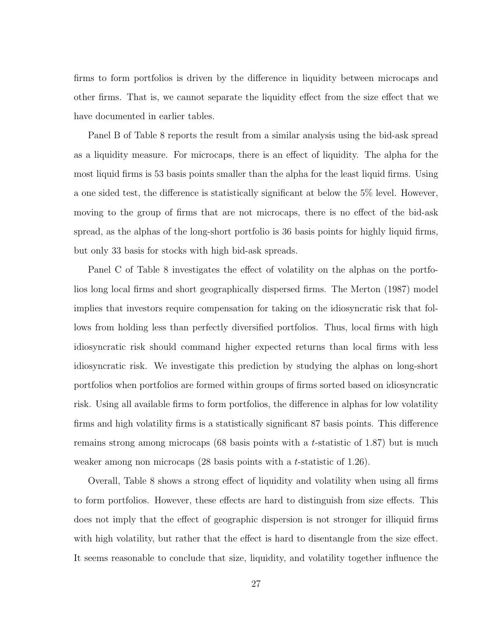firms to form portfolios is driven by the difference in liquidity between microcaps and other firms. That is, we cannot separate the liquidity effect from the size effect that we have documented in earlier tables.

Panel B of Table 8 reports the result from a similar analysis using the bid-ask spread as a liquidity measure. For microcaps, there is an effect of liquidity. The alpha for the most liquid firms is 53 basis points smaller than the alpha for the least liquid firms. Using a one sided test, the difference is statistically significant at below the 5% level. However, moving to the group of firms that are not microcaps, there is no effect of the bid-ask spread, as the alphas of the long-short portfolio is 36 basis points for highly liquid firms, but only 33 basis for stocks with high bid-ask spreads.

Panel C of Table 8 investigates the effect of volatility on the alphas on the portfolios long local firms and short geographically dispersed firms. The Merton (1987) model implies that investors require compensation for taking on the idiosyncratic risk that follows from holding less than perfectly diversified portfolios. Thus, local firms with high idiosyncratic risk should command higher expected returns than local firms with less idiosyncratic risk. We investigate this prediction by studying the alphas on long-short portfolios when portfolios are formed within groups of firms sorted based on idiosyncratic risk. Using all available firms to form portfolios, the difference in alphas for low volatility firms and high volatility firms is a statistically significant 87 basis points. This difference remains strong among microcaps (68 basis points with a t-statistic of 1.87) but is much weaker among non microcaps  $(28 \text{ basis points with a } t\text{-statistic of } 1.26).$ 

Overall, Table 8 shows a strong effect of liquidity and volatility when using all firms to form portfolios. However, these effects are hard to distinguish from size effects. This does not imply that the effect of geographic dispersion is not stronger for illiquid firms with high volatility, but rather that the effect is hard to disentangle from the size effect. It seems reasonable to conclude that size, liquidity, and volatility together influence the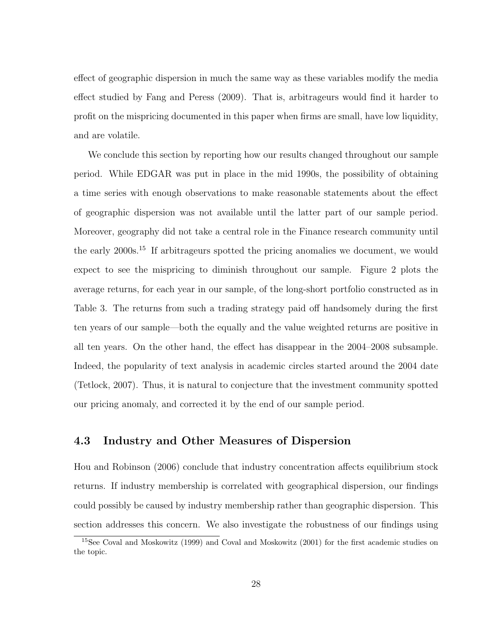effect of geographic dispersion in much the same way as these variables modify the media effect studied by Fang and Peress (2009). That is, arbitrageurs would find it harder to profit on the mispricing documented in this paper when firms are small, have low liquidity, and are volatile.

We conclude this section by reporting how our results changed throughout our sample period. While EDGAR was put in place in the mid 1990s, the possibility of obtaining a time series with enough observations to make reasonable statements about the effect of geographic dispersion was not available until the latter part of our sample period. Moreover, geography did not take a central role in the Finance research community until the early 2000s.<sup>15</sup> If arbitrageurs spotted the pricing anomalies we document, we would expect to see the mispricing to diminish throughout our sample. Figure 2 plots the average returns, for each year in our sample, of the long-short portfolio constructed as in Table 3. The returns from such a trading strategy paid off handsomely during the first ten years of our sample—both the equally and the value weighted returns are positive in all ten years. On the other hand, the effect has disappear in the 2004–2008 subsample. Indeed, the popularity of text analysis in academic circles started around the 2004 date (Tetlock, 2007). Thus, it is natural to conjecture that the investment community spotted our pricing anomaly, and corrected it by the end of our sample period.

### 4.3 Industry and Other Measures of Dispersion

Hou and Robinson (2006) conclude that industry concentration affects equilibrium stock returns. If industry membership is correlated with geographical dispersion, our findings could possibly be caused by industry membership rather than geographic dispersion. This section addresses this concern. We also investigate the robustness of our findings using

<sup>&</sup>lt;sup>15</sup>See Coval and Moskowitz (1999) and Coval and Moskowitz (2001) for the first academic studies on the topic.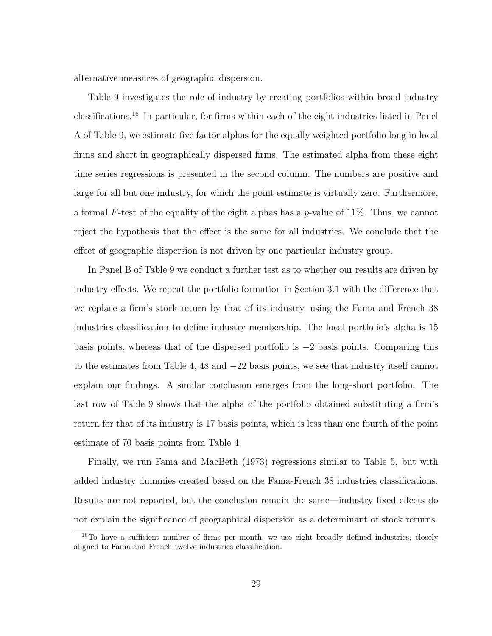alternative measures of geographic dispersion.

Table 9 investigates the role of industry by creating portfolios within broad industry classifications.<sup>16</sup> In particular, for firms within each of the eight industries listed in Panel A of Table 9, we estimate five factor alphas for the equally weighted portfolio long in local firms and short in geographically dispersed firms. The estimated alpha from these eight time series regressions is presented in the second column. The numbers are positive and large for all but one industry, for which the point estimate is virtually zero. Furthermore, a formal F-test of the equality of the eight alphas has a p-value of  $11\%$ . Thus, we cannot reject the hypothesis that the effect is the same for all industries. We conclude that the effect of geographic dispersion is not driven by one particular industry group.

In Panel B of Table 9 we conduct a further test as to whether our results are driven by industry effects. We repeat the portfolio formation in Section 3.1 with the difference that we replace a firm's stock return by that of its industry, using the Fama and French 38 industries classification to define industry membership. The local portfolio's alpha is 15 basis points, whereas that of the dispersed portfolio is −2 basis points. Comparing this to the estimates from Table 4, 48 and −22 basis points, we see that industry itself cannot explain our findings. A similar conclusion emerges from the long-short portfolio. The last row of Table 9 shows that the alpha of the portfolio obtained substituting a firm's return for that of its industry is 17 basis points, which is less than one fourth of the point estimate of 70 basis points from Table 4.

Finally, we run Fama and MacBeth (1973) regressions similar to Table 5, but with added industry dummies created based on the Fama-French 38 industries classifications. Results are not reported, but the conclusion remain the same—industry fixed effects do not explain the significance of geographical dispersion as a determinant of stock returns.

<sup>&</sup>lt;sup>16</sup>To have a sufficient number of firms per month, we use eight broadly defined industries, closely aligned to Fama and French twelve industries classification.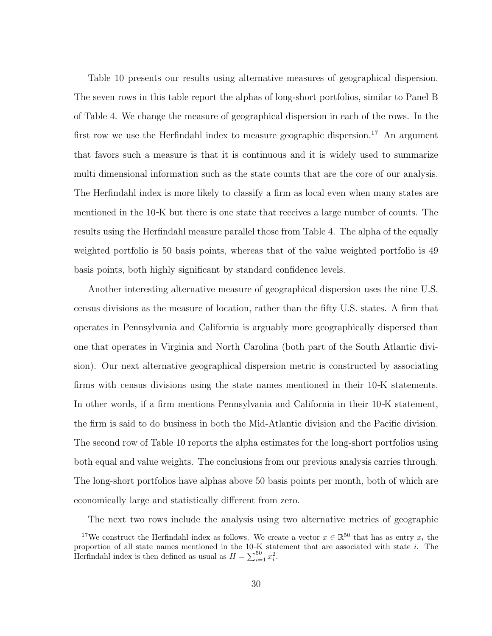Table 10 presents our results using alternative measures of geographical dispersion. The seven rows in this table report the alphas of long-short portfolios, similar to Panel B of Table 4. We change the measure of geographical dispersion in each of the rows. In the first row we use the Herfindahl index to measure geographic dispersion.<sup>17</sup> An argument that favors such a measure is that it is continuous and it is widely used to summarize multi dimensional information such as the state counts that are the core of our analysis. The Herfindahl index is more likely to classify a firm as local even when many states are mentioned in the 10 K but there is one state that receives a large number of counts. The results using the Herfindahl measure parallel those from Table 4. The alpha of the equally weighted portfolio is 50 basis points, whereas that of the value weighted portfolio is 49 basis points, both highly significant by standard confidence levels.

Another interesting alternative measure of geographical dispersion uses the nine U.S. census divisions as the measure of location, rather than the fifty U.S. states. A firm that operates in Pennsylvania and California is arguably more geographically dispersed than one that operates in Virginia and North Carolina (both part of the South Atlantic division). Our next alternative geographical dispersion metric is constructed by associating firms with census divisions using the state names mentioned in their 10 K statements. In other words, if a firm mentions Pennsylvania and California in their 10 K statement, the firm is said to do business in both the Mid-Atlantic division and the Pacific division. The second row of Table 10 reports the alpha estimates for the long-short portfolios using both equal and value weights. The conclusions from our previous analysis carries through. The long-short portfolios have alphas above 50 basis points per month, both of which are economically large and statistically different from zero.

The next two rows include the analysis using two alternative metrics of geographic

<sup>&</sup>lt;sup>17</sup>We construct the Herfindahl index as follows. We create a vector  $x \in \mathbb{R}^{50}$  that has as entry  $x_i$  the proportion of all state names mentioned in the 10 K statement that are associated with state i. The Herfindahl index is then defined as usual as  $H = \sum_{i=1}^{50} x_i^2$ .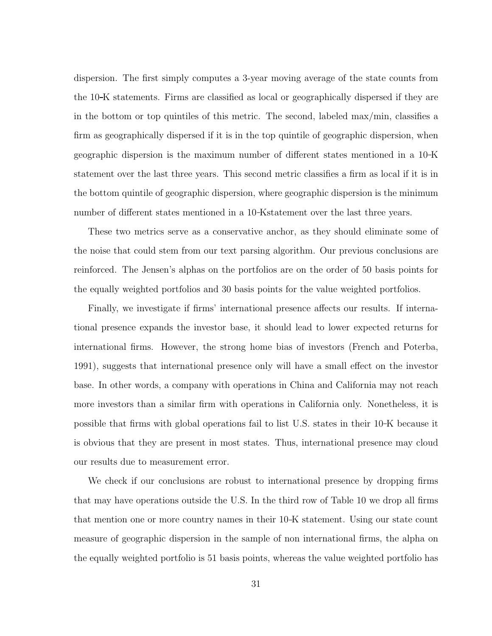dispersion. The first simply computes a 3-year moving average of the state counts from the 10 K statements. Firms are classified as local or geographically dispersed if they are in the bottom or top quintiles of this metric. The second, labeled max/min, classifies a firm as geographically dispersed if it is in the top quintile of geographic dispersion, when geographic dispersion is the maximum number of different states mentioned in a 10 K statement over the last three years. This second metric classifies a firm as local if it is in the bottom quintile of geographic dispersion, where geographic dispersion is the minimum number of different states mentioned in a 10-K statement over the last three years.

These two metrics serve as a conservative anchor, as they should eliminate some of the noise that could stem from our text parsing algorithm. Our previous conclusions are reinforced. The Jensen's alphas on the portfolios are on the order of 50 basis points for the equally weighted portfolios and 30 basis points for the value weighted portfolios.

Finally, we investigate if firms' international presence affects our results. If international presence expands the investor base, it should lead to lower expected returns for international firms. However, the strong home bias of investors (French and Poterba, 1991), suggests that international presence only will have a small effect on the investor base. In other words, a company with operations in China and California may not reach more investors than a similar firm with operations in California only. Nonetheless, it is possible that firms with global operations fail to list U.S. states in their 10 K because it is obvious that they are present in most states. Thus, international presence may cloud our results due to measurement error.

We check if our conclusions are robust to international presence by dropping firms that may have operations outside the U.S. In the third row of Table 10 we drop all firms that mention one or more country names in their 10 K statement. Using our state count measure of geographic dispersion in the sample of non international firms, the alpha on the equally weighted portfolio is 51 basis points, whereas the value weighted portfolio has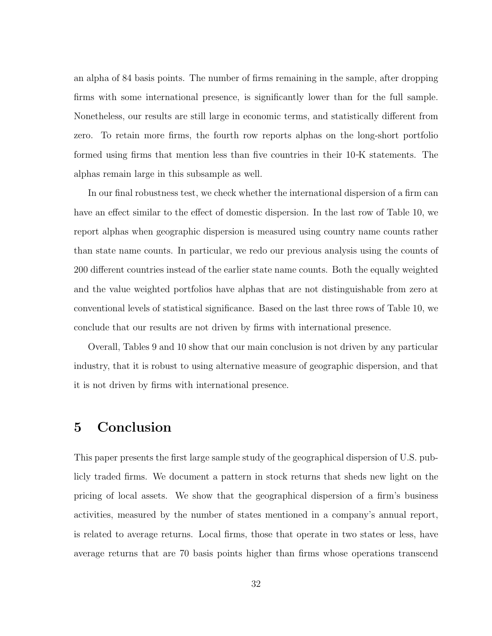an alpha of 84 basis points. The number of firms remaining in the sample, after dropping firms with some international presence, is significantly lower than for the full sample. Nonetheless, our results are still large in economic terms, and statistically different from zero. To retain more firms, the fourth row reports alphas on the long-short portfolio formed using firms that mention less than five countries in their 10 K statements. The alphas remain large in this subsample as well.

In our final robustness test, we check whether the international dispersion of a firm can have an effect similar to the effect of domestic dispersion. In the last row of Table 10, we report alphas when geographic dispersion is measured using country name counts rather than state name counts. In particular, we redo our previous analysis using the counts of 200 different countries instead of the earlier state name counts. Both the equally weighted and the value weighted portfolios have alphas that are not distinguishable from zero at conventional levels of statistical significance. Based on the last three rows of Table 10, we conclude that our results are not driven by firms with international presence.

Overall, Tables 9 and 10 show that our main conclusion is not driven by any particular industry, that it is robust to using alternative measure of geographic dispersion, and that it is not driven by firms with international presence.

## 5 Conclusion

This paper presents the first large sample study of the geographical dispersion of U.S. publicly traded firms. We document a pattern in stock returns that sheds new light on the pricing of local assets. We show that the geographical dispersion of a firm's business activities, measured by the number of states mentioned in a company's annual report, is related to average returns. Local firms, those that operate in two states or less, have average returns that are 70 basis points higher than firms whose operations transcend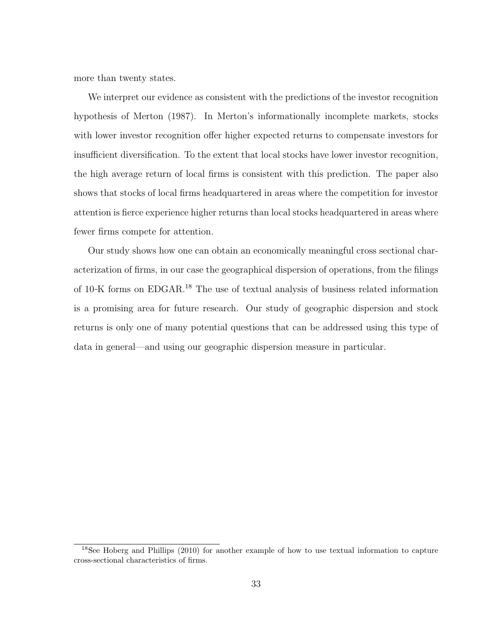more than twenty states.

We interpret our evidence as consistent with the predictions of the investor recognition hypothesis of Merton (1987). In Merton's informationally incomplete markets, stocks with lower investor recognition offer higher expected returns to compensate investors for insufficient diversification. To the extent that local stocks have lower investor recognition, the high average return of local firms is consistent with this prediction. The paper also shows that stocks of local firms headquartered in areas where the competition for investor attention is fierce experience higher returns than local stocks headquartered in areas where fewer firms compete for attention.

Our study shows how one can obtain an economically meaningful cross sectional characterization of firms, in our case the geographical dispersion of operations, from the filings of 10 K forms on EDGAR.<sup>18</sup> The use of textual analysis of business related information is a promising area for future research. Our study of geographic dispersion and stock returns is only one of many potential questions that can be addressed using this type of data in general—and using our geographic dispersion measure in particular.

<sup>18</sup>See Hoberg and Phillips (2010) for another example of how to use textual information to capture cross-sectional characteristics of firms.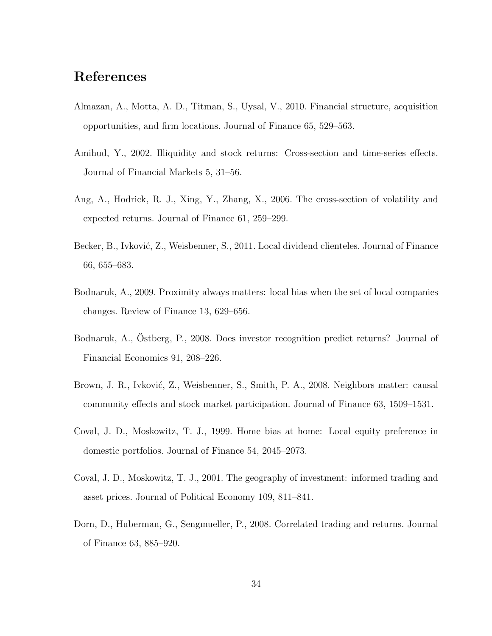## References

- Almazan, A., Motta, A. D., Titman, S., Uysal, V., 2010. Financial structure, acquisition opportunities, and firm locations. Journal of Finance 65, 529–563.
- Amihud, Y., 2002. Illiquidity and stock returns: Cross-section and time-series effects. Journal of Financial Markets 5, 31–56.
- Ang, A., Hodrick, R. J., Xing, Y., Zhang, X., 2006. The cross-section of volatility and expected returns. Journal of Finance 61, 259–299.
- Becker, B., Ivković, Z., Weisbenner, S., 2011. Local dividend clienteles. Journal of Finance 66, 655–683.
- Bodnaruk, A., 2009. Proximity always matters: local bias when the set of local companies changes. Review of Finance 13, 629–656.
- Bodnaruk, A., Östberg, P., 2008. Does investor recognition predict returns? Journal of Financial Economics 91, 208–226.
- Brown, J. R., Ivković, Z., Weisbenner, S., Smith, P. A., 2008. Neighbors matter: causal community effects and stock market participation. Journal of Finance 63, 1509–1531.
- Coval, J. D., Moskowitz, T. J., 1999. Home bias at home: Local equity preference in domestic portfolios. Journal of Finance 54, 2045–2073.
- Coval, J. D., Moskowitz, T. J., 2001. The geography of investment: informed trading and asset prices. Journal of Political Economy 109, 811–841.
- Dorn, D., Huberman, G., Sengmueller, P., 2008. Correlated trading and returns. Journal of Finance 63, 885–920.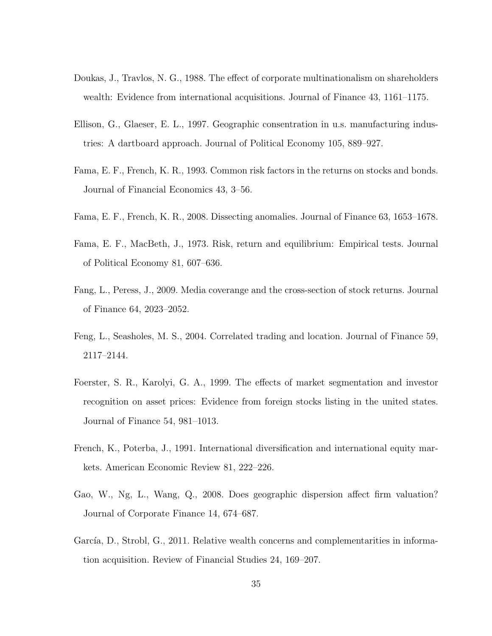- Doukas, J., Travlos, N. G., 1988. The effect of corporate multinationalism on shareholders wealth: Evidence from international acquisitions. Journal of Finance 43, 1161–1175.
- Ellison, G., Glaeser, E. L., 1997. Geographic consentration in u.s. manufacturing industries: A dartboard approach. Journal of Political Economy 105, 889–927.
- Fama, E. F., French, K. R., 1993. Common risk factors in the returns on stocks and bonds. Journal of Financial Economics 43, 3–56.
- Fama, E. F., French, K. R., 2008. Dissecting anomalies. Journal of Finance 63, 1653–1678.
- Fama, E. F., MacBeth, J., 1973. Risk, return and equilibrium: Empirical tests. Journal of Political Economy 81, 607–636.
- Fang, L., Peress, J., 2009. Media coverange and the cross-section of stock returns. Journal of Finance 64, 2023–2052.
- Feng, L., Seasholes, M. S., 2004. Correlated trading and location. Journal of Finance 59, 2117–2144.
- Foerster, S. R., Karolyi, G. A., 1999. The effects of market segmentation and investor recognition on asset prices: Evidence from foreign stocks listing in the united states. Journal of Finance 54, 981–1013.
- French, K., Poterba, J., 1991. International diversification and international equity markets. American Economic Review 81, 222–226.
- Gao, W., Ng, L., Wang, Q., 2008. Does geographic dispersion affect firm valuation? Journal of Corporate Finance 14, 674–687.
- García, D., Strobl, G., 2011. Relative wealth concerns and complementarities in information acquisition. Review of Financial Studies 24, 169–207.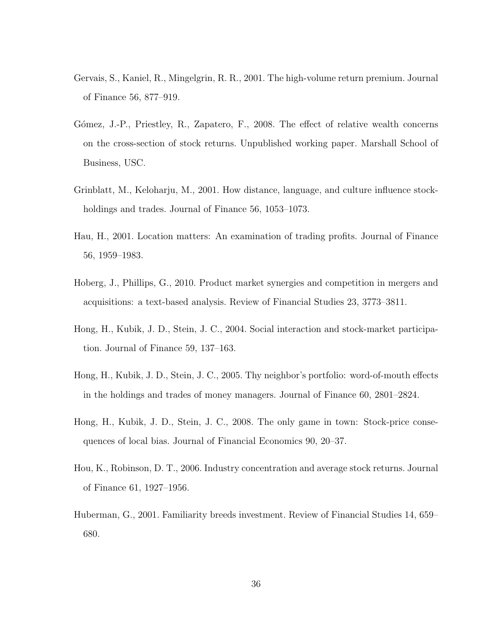- Gervais, S., Kaniel, R., Mingelgrin, R. R., 2001. The high-volume return premium. Journal of Finance 56, 877–919.
- Gómez, J.-P., Priestley, R., Zapatero, F., 2008. The effect of relative wealth concerns on the cross-section of stock returns. Unpublished working paper. Marshall School of Business, USC.
- Grinblatt, M., Keloharju, M., 2001. How distance, language, and culture influence stockholdings and trades. Journal of Finance 56, 1053–1073.
- Hau, H., 2001. Location matters: An examination of trading profits. Journal of Finance 56, 1959–1983.
- Hoberg, J., Phillips, G., 2010. Product market synergies and competition in mergers and acquisitions: a text-based analysis. Review of Financial Studies 23, 3773–3811.
- Hong, H., Kubik, J. D., Stein, J. C., 2004. Social interaction and stock-market participation. Journal of Finance 59, 137–163.
- Hong, H., Kubik, J. D., Stein, J. C., 2005. Thy neighbor's portfolio: word-of-mouth effects in the holdings and trades of money managers. Journal of Finance 60, 2801–2824.
- Hong, H., Kubik, J. D., Stein, J. C., 2008. The only game in town: Stock-price consequences of local bias. Journal of Financial Economics 90, 20–37.
- Hou, K., Robinson, D. T., 2006. Industry concentration and average stock returns. Journal of Finance 61, 1927–1956.
- Huberman, G., 2001. Familiarity breeds investment. Review of Financial Studies 14, 659– 680.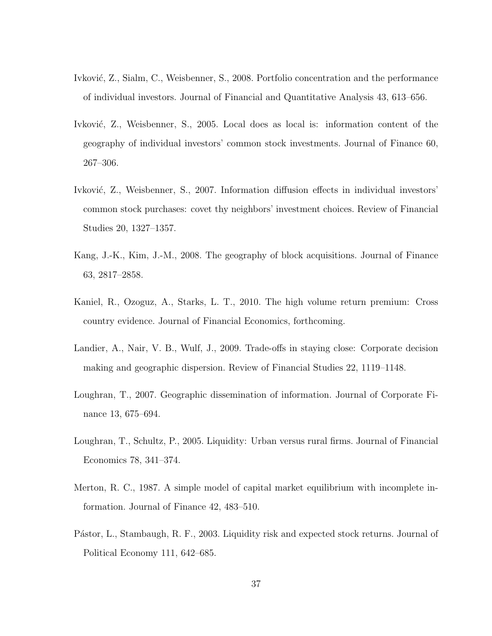- Ivković, Z., Sialm, C., Weisbenner, S., 2008. Portfolio concentration and the performance of individual investors. Journal of Financial and Quantitative Analysis 43, 613–656.
- Ivković, Z., Weisbenner, S., 2005. Local does as local is: information content of the geography of individual investors' common stock investments. Journal of Finance 60, 267–306.
- Ivković, Z., Weisbenner, S., 2007. Information diffusion effects in individual investors' common stock purchases: covet thy neighbors' investment choices. Review of Financial Studies 20, 1327–1357.
- Kang, J.-K., Kim, J.-M., 2008. The geography of block acquisitions. Journal of Finance 63, 2817–2858.
- Kaniel, R., Ozoguz, A., Starks, L. T., 2010. The high volume return premium: Cross country evidence. Journal of Financial Economics, forthcoming.
- Landier, A., Nair, V. B., Wulf, J., 2009. Trade-offs in staying close: Corporate decision making and geographic dispersion. Review of Financial Studies 22, 1119–1148.
- Loughran, T., 2007. Geographic dissemination of information. Journal of Corporate Finance 13, 675–694.
- Loughran, T., Schultz, P., 2005. Liquidity: Urban versus rural firms. Journal of Financial Economics 78, 341–374.
- Merton, R. C., 1987. A simple model of capital market equilibrium with incomplete information. Journal of Finance 42, 483–510.
- Pástor, L., Stambaugh, R. F., 2003. Liquidity risk and expected stock returns. Journal of Political Economy 111, 642–685.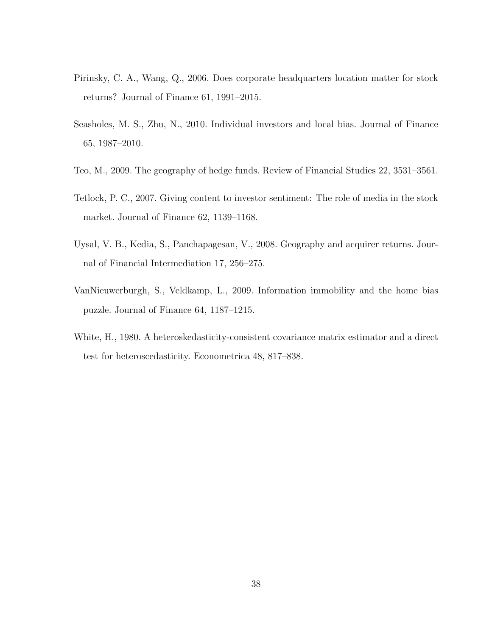- Pirinsky, C. A., Wang, Q., 2006. Does corporate headquarters location matter for stock returns? Journal of Finance 61, 1991–2015.
- Seasholes, M. S., Zhu, N., 2010. Individual investors and local bias. Journal of Finance 65, 1987–2010.
- Teo, M., 2009. The geography of hedge funds. Review of Financial Studies 22, 3531–3561.
- Tetlock, P. C., 2007. Giving content to investor sentiment: The role of media in the stock market. Journal of Finance 62, 1139–1168.
- Uysal, V. B., Kedia, S., Panchapagesan, V., 2008. Geography and acquirer returns. Journal of Financial Intermediation 17, 256–275.
- VanNieuwerburgh, S., Veldkamp, L., 2009. Information immobility and the home bias puzzle. Journal of Finance 64, 1187–1215.
- White, H., 1980. A heteroskedasticity-consistent covariance matrix estimator and a direct test for heteroscedasticity. Econometrica 48, 817–838.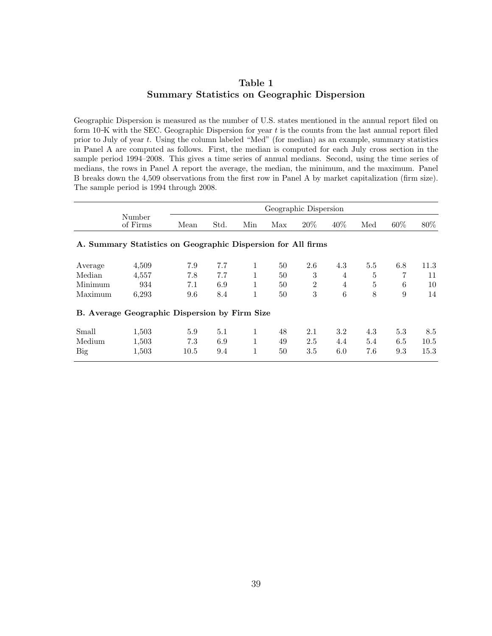#### Table 1 Summary Statistics on Geographic Dispersion

Geographic Dispersion is measured as the number of U.S. states mentioned in the annual report filed on form 10-K with the SEC. Geographic Dispersion for year  $t$  is the counts from the last annual report filed prior to July of year t. Using the column labeled "Med" (for median) as an example, summary statistics in Panel A are computed as follows. First, the median is computed for each July cross section in the sample period 1994–2008. This gives a time series of annual medians. Second, using the time series of medians, the rows in Panel A report the average, the median, the minimum, and the maximum. Panel B breaks down the 4,509 observations from the first row in Panel A by market capitalization (firm size). The sample period is 1994 through 2008.

|         |                                                              | Geographic Dispersion |      |     |     |                |                |         |     |        |
|---------|--------------------------------------------------------------|-----------------------|------|-----|-----|----------------|----------------|---------|-----|--------|
|         | Number<br>of Firms                                           | Mean                  | Std. | Min | Max | 20%            | 40\%           | Med     | 60% | $80\%$ |
|         | A. Summary Statistics on Geographic Dispersion for All firms |                       |      |     |     |                |                |         |     |        |
| Average | 4,509                                                        | 7.9                   | 7.7  | 1   | 50  | 2.6            | 4.3            | $5.5\,$ | 6.8 | 11.3   |
| Median  | 4,557                                                        | 7.8                   | 7.7  |     | 50  | 3              | 4              | 5       | 7   | 11     |
| Minimum | 934                                                          | 7.1                   | 6.9  | 1   | 50  | $\overline{2}$ | $\overline{4}$ | 5       | 6   | 10     |
| Maximum | 6,293                                                        | 9.6                   | 8.4  |     | 50  | 3              | 6              | 8       | 9   | 14     |
|         | B. Average Geographic Dispersion by Firm Size                |                       |      |     |     |                |                |         |     |        |
| Small   | 1,503                                                        | 5.9                   | 5.1  | 1   | 48  | 2.1            | 3.2            | 4.3     | 5.3 | 8.5    |
| Medium  | 1,503                                                        | 7.3                   | 6.9  | 1   | 49  | 2.5            | 4.4            | 5.4     | 6.5 | 10.5   |
| Big     | 1,503                                                        | 10.5                  | 9.4  | 1   | 50  | $3.5\,$        | 6.0            | 7.6     | 9.3 | 15.3   |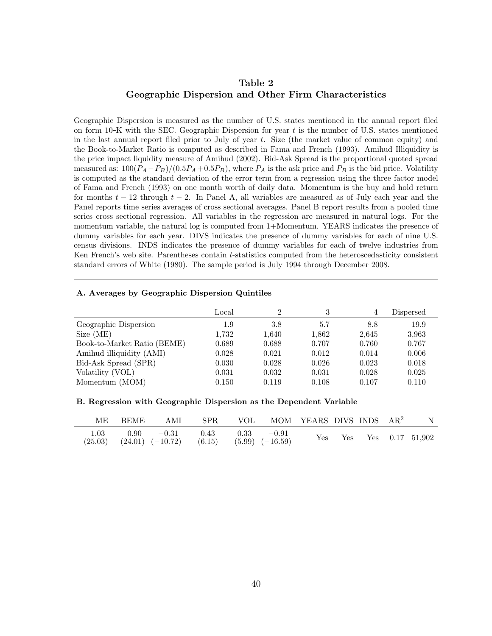#### Table 2 Geographic Dispersion and Other Firm Characteristics

Geographic Dispersion is measured as the number of U.S. states mentioned in the annual report filed on form 10-K with the SEC. Geographic Dispersion for year  $t$  is the number of U.S. states mentioned in the last annual report filed prior to July of year  $t$ . Size (the market value of common equity) and the Book-to-Market Ratio is computed as described in Fama and French (1993). Amihud Illiquidity is the price impact liquidity measure of Amihud (2002). Bid-Ask Spread is the proportional quoted spread measured as:  $100(P_A - P_B)/(0.5P_A + 0.5P_B)$ , where  $P_A$  is the ask price and  $P_B$  is the bid price. Volatility is computed as the standard deviation of the error term from a regression using the three factor model of Fama and French (1993) on one month worth of daily data. Momentum is the buy and hold return for months  $t - 12$  through  $t - 2$ . In Panel A, all variables are measured as of July each year and the Panel reports time series averages of cross sectional averages. Panel B report results from a pooled time series cross sectional regression. All variables in the regression are measured in natural logs. For the momentum variable, the natural log is computed from 1+Momentum. YEARS indicates the presence of dummy variables for each year. DIVS indicates the presence of dummy variables for each of nine U.S. census divisions. INDS indicates the presence of dummy variables for each of twelve industries from Ken French's web site. Parentheses contain t-statistics computed from the heteroscedasticity consistent standard errors of White (1980). The sample period is July 1994 through December 2008.

|                             | Local | 2     | 3     | 4     | Dispersed |
|-----------------------------|-------|-------|-------|-------|-----------|
| Geographic Dispersion       | 1.9   | 3.8   | 5.7   | 8.8   | 19.9      |
| Size (ME)                   | 1,732 | 1,640 | 1,862 | 2,645 | 3.963     |
| Book-to-Market Ratio (BEME) | 0.689 | 0.688 | 0.707 | 0.760 | 0.767     |
| Amihud illiquidity (AMI)    | 0.028 | 0.021 | 0.012 | 0.014 | 0.006     |
| Bid-Ask Spread (SPR)        | 0.030 | 0.028 | 0.026 | 0.023 | 0.018     |
| Volatility (VOL)            | 0.031 | 0.032 | 0.031 | 0.028 | 0.025     |
| Momentum (MOM)              | 0.150 | 0.119 | 0.108 | 0.107 | 0.110     |

#### A. Averages by Geographic Dispersion Quintiles

#### B. Regression with Geographic Dispersion as the Dependent Variable

| MЕ       | <b>BEME</b> | AMI                                                                         | SPR. | VOL | MOM YEARS DIVS INDS AR <sup>2</sup> |  |  | $\mathbf N$             |
|----------|-------------|-----------------------------------------------------------------------------|------|-----|-------------------------------------|--|--|-------------------------|
| $1.03\,$ |             | $0.90 -0.31$<br>$(25.03)$ $(24.01)$ $(-10.72)$ $(6.15)$ $(5.99)$ $(-16.59)$ | 0.43 |     | $0.33 -0.91$                        |  |  | Yes Yes Yes 0.17 51,902 |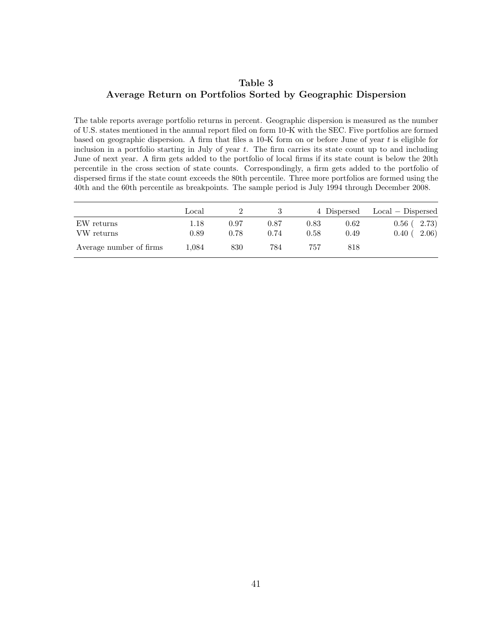### Table 3 Average Return on Portfolios Sorted by Geographic Dispersion

The table reports average portfolio returns in percent. Geographic dispersion is measured as the number of U.S. states mentioned in the annual report filed on form 10 K with the SEC. Five portfolios are formed based on geographic dispersion. A firm that files a 10 K form on or before June of year t is eligible for inclusion in a portfolio starting in July of year  $t$ . The firm carries its state count up to and including June of next year. A firm gets added to the portfolio of local firms if its state count is below the 20th percentile in the cross section of state counts. Correspondingly, a firm gets added to the portfolio of dispersed firms if the state count exceeds the 80th percentile. Three more portfolios are formed using the 40th and the 60th percentile as breakpoints. The sample period is July 1994 through December 2008.

|                          | Local        |              |              |                          | 4 Dispersed  | $Local - Dispersed$                 |
|--------------------------|--------------|--------------|--------------|--------------------------|--------------|-------------------------------------|
| EW returns<br>VW returns | 1.18<br>0.89 | 0.97<br>0.78 | 0.87<br>0.74 | $\rm 0.83$<br>$\rm 0.58$ | 0.62<br>0.49 | $0.56$ ( $2.73$ )<br>2.06)<br>0.40( |
| Average number of firms  | 1.084        | 830          | 784          | 757                      | 818          |                                     |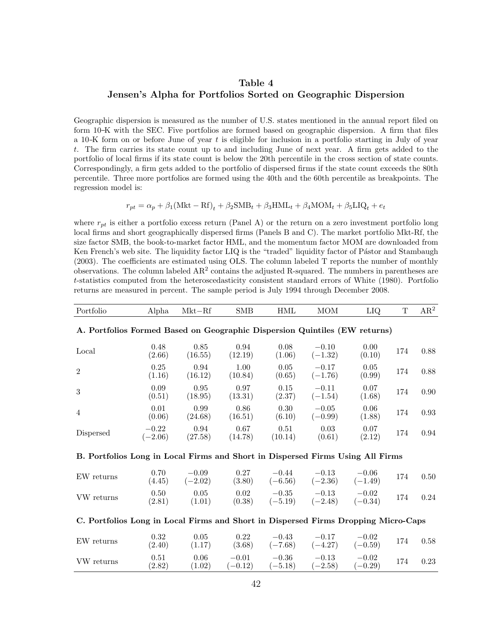#### Jensen's Alpha for Portfolios Sorted on Geographic Dispersion

Geographic dispersion is measured as the number of U.S. states mentioned in the annual report filed on form 10 K with the SEC. Five portfolios are formed based on geographic dispersion. A firm that files a 10-K form on or before June of year t is eligible for inclusion in a portfolio starting in July of year t. The firm carries its state count up to and including June of next year. A firm gets added to the portfolio of local firms if its state count is below the 20th percentile in the cross section of state counts. Correspondingly, a firm gets added to the portfolio of dispersed firms if the state count exceeds the 80th percentile. Three more portfolios are formed using the 40th and the 60th percentile as breakpoints. The regression model is:

 $r_{nt} = \alpha_p + \beta_1(Mkt - Rf)_t + \beta_2SMB_t + \beta_3HML_t + \beta_4MOM_t + \beta_5LIQ_t + e_t$ 

where  $r_{pt}$  is either a portfolio excess return (Panel A) or the return on a zero investment portfolio long local firms and short geographically dispersed firms (Panels B and C). The market portfolio Mkt-Rf, the size factor SMB, the book-to-market factor HML, and the momentum factor MOM are downloaded from Ken French's web site. The liquidity factor LIQ is the "traded" liquidity factor of Pástor and Stambaugh (2003). The coefficients are estimated using OLS. The column labeled T reports the number of monthly observations. The column labeled  $AR^2$  contains the adjusted R-squared. The numbers in parentheses are t-statistics computed from the heteroscedasticity consistent standard errors of White (1980). Portfolio returns are measured in percent. The sample period is July 1994 through December 2008.

| Portfolio                                                                          | Alpha                | $Mkt-Rf$             | <b>SMB</b>           | <b>HML</b>           | <b>MOM</b>           | LIQ                  | T   | AR <sup>2</sup> |
|------------------------------------------------------------------------------------|----------------------|----------------------|----------------------|----------------------|----------------------|----------------------|-----|-----------------|
| A. Portfolios Formed Based on Geographic Dispersion Quintiles (EW returns)         |                      |                      |                      |                      |                      |                      |     |                 |
| Local                                                                              | 0.48<br>(2.66)       | 0.85<br>(16.55)      | 0.94<br>(12.19)      | 0.08<br>(1.06)       | $-0.10$<br>$(-1.32)$ | 0.00<br>(0.10)       | 174 | 0.88            |
| $\overline{2}$                                                                     | 0.25<br>(1.16)       | 0.94<br>(16.12)      | 1.00<br>(10.84)      | 0.05<br>(0.65)       | $-0.17$<br>$(-1.76)$ | 0.05<br>(0.99)       | 174 | 0.88            |
| 3                                                                                  | 0.09<br>(0.51)       | 0.95<br>(18.95)      | 0.97<br>(13.31)      | 0.15<br>(2.37)       | $-0.11$<br>$(-1.54)$ | 0.07<br>(1.68)       | 174 | 0.90            |
| 4                                                                                  | 0.01<br>(0.06)       | 0.99<br>(24.68)      | 0.86<br>(16.51)      | 0.30<br>(6.10)       | $-0.05$<br>$(-0.99)$ | 0.06<br>(1.88)       | 174 | 0.93            |
| Dispersed                                                                          | $-0.22$<br>$(-2.06)$ | 0.94<br>(27.58)      | 0.67<br>(14.78)      | 0.51<br>(10.14)      | 0.03<br>(0.61)       | 0.07<br>(2.12)       | 174 | 0.94            |
| B. Portfolios Long in Local Firms and Short in Dispersed Firms Using All Firms     |                      |                      |                      |                      |                      |                      |     |                 |
| EW returns                                                                         | 0.70<br>(4.45)       | $-0.09$<br>$(-2.02)$ | 0.27<br>(3.80)       | $-0.44$<br>$(-6.56)$ | $-0.13$<br>$(-2.36)$ | $-0.06$<br>$(-1.49)$ | 174 | 0.50            |
| VW returns                                                                         | 0.50<br>(2.81)       | 0.05<br>(1.01)       | 0.02<br>(0.38)       | $-0.35$<br>$(-5.19)$ | $-0.13$<br>$(-2.48)$ | $-0.02$<br>$(-0.34)$ | 174 | 0.24            |
| C. Portfolios Long in Local Firms and Short in Dispersed Firms Dropping Micro-Caps |                      |                      |                      |                      |                      |                      |     |                 |
| EW returns                                                                         | 0.32<br>(2.40)       | 0.05<br>(1.17)       | 0.22<br>(3.68)       | $-0.43$<br>$(-7.68)$ | $-0.17$<br>$(-4.27)$ | $-0.02$<br>$(-0.59)$ | 174 | 0.58            |
| VW returns                                                                         | 0.51<br>(2.82)       | 0.06<br>(1.02)       | $-0.01$<br>$(-0.12)$ | $-0.36$<br>$(-5.18)$ | $-0.13$<br>$(-2.58)$ | $-0.02$<br>$(-0.29)$ | 174 | 0.23            |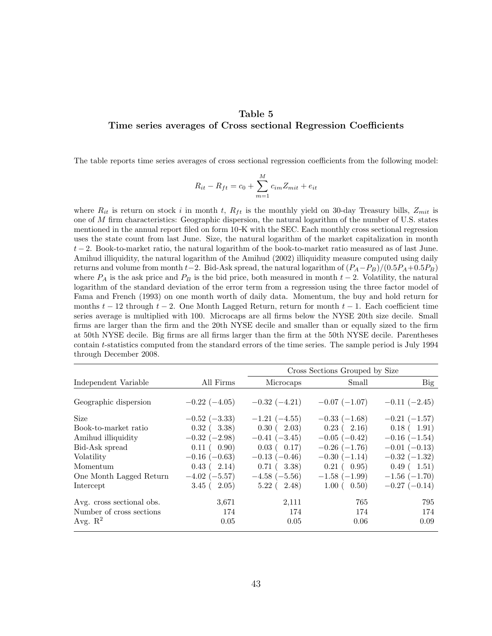#### Table 5 Time series averages of Cross sectional Regression Coefficients

The table reports time series averages of cross sectional regression coefficients from the following model:

$$
R_{it} - R_{ft} = c_0 + \sum_{m=1}^{M} c_{im} Z_{mit} + e_{it}
$$

where  $R_{it}$  is return on stock i in month t,  $R_{ft}$  is the monthly yield on 30-day Treasury bills,  $Z_{mit}$  is one of  $M$  firm characteristics: Geographic dispersion, the natural logarithm of the number of U.S. states mentioned in the annual report filed on form 10 K with the SEC. Each monthly cross sectional regression uses the state count from last June. Size, the natural logarithm of the market capitalization in month  $t-2$ . Book-to-market ratio, the natural logarithm of the book-to-market ratio measured as of last June. Amihud illiquidity, the natural logarithm of the Amihud (2002) illiquidity measure computed using daily returns and volume from month t−2. Bid-Ask spread, the natural logarithm of  $(P_A-P_B)/(0.5P_A+0.5P_B)$ where  $P_A$  is the ask price and  $P_B$  is the bid price, both measured in month  $t-2$ . Volatility, the natural logarithm of the standard deviation of the error term from a regression using the three factor model of Fama and French (1993) on one month worth of daily data. Momentum, the buy and hold return for months  $t - 12$  through  $t - 2$ . One Month Lagged Return, return for month  $t - 1$ . Each coefficient time series average is multiplied with 100. Microcaps are all firms below the NYSE 20th size decile. Small firms are larger than the firm and the 20th NYSE decile and smaller than or equally sized to the firm at 50th NYSE decile. Big firms are all firms larger than the firm at the 50th NYSE decile. Parentheses contain t-statistics computed from the standard errors of the time series. The sample period is July 1994 through December 2008.

|                           |                     | Cross Sections Grouped by Size |                     |                     |  |  |  |
|---------------------------|---------------------|--------------------------------|---------------------|---------------------|--|--|--|
| Independent Variable      | All Firms           | Microcaps                      | Small               | Big                 |  |  |  |
| Geographic dispersion     | $-0.22$ ( $-4.05$ ) | $-0.32$ ( $-4.21$ )            | $-0.07$ ( $-1.07$ ) | $-0.11(-2.45)$      |  |  |  |
| <b>Size</b>               | $-0.52$ ( $-3.33$ ) | $-1.21(-4.55)$                 | $-0.33(-1.68)$      | $-0.21(-1.57)$      |  |  |  |
| Book-to-market ratio      | $0.32$ ( $3.38$ )   | $0.30(-2.03)$                  | $0.23(-2.16)$       | $0.18$ ( 1.91)      |  |  |  |
| Amihud illiquidity        | $-0.32$ ( $-2.98$ ) | $-0.41(-3.45)$                 | $-0.05$ $(-0.42)$   | $-0.16(-1.54)$      |  |  |  |
| Bid-Ask spread            | $0.11$ ( $0.90$ )   | $0.03$ ( $0.17$ )              | $-0.26$ ( $-1.76$ ) | $-0.01$ $(-0.13)$   |  |  |  |
| Volatility                | $-0.16(-0.63)$      | $-0.13(-0.46)$                 | $-0.30(-1.14)$      | $-0.32$ $(-1.32)$   |  |  |  |
| Momentum                  | $0.43$ ( $2.14$ )   | $0.71$ ( $3.38$ )              | $0.21$ ( $0.95$ )   | $0.49$ ( $1.51$ )   |  |  |  |
| One Month Lagged Return   | $-4.02(-5.57)$      | $-4.58(-5.56)$                 | $-1.58(-1.99)$      | $-1.56(-1.70)$      |  |  |  |
| Intercept                 | 2.05)<br>3.45 (     | $5.22(-2.48)$                  | $1.00(-0.50)$       | $-0.27$ ( $-0.14$ ) |  |  |  |
| Avg. cross sectional obs. | 3,671               | 2,111                          | 765                 | 795                 |  |  |  |
| Number of cross sections  | 174                 | 174                            | 174                 | 174                 |  |  |  |
| Avg. $R^2$                | 0.05                | 0.05                           | 0.06                | 0.09                |  |  |  |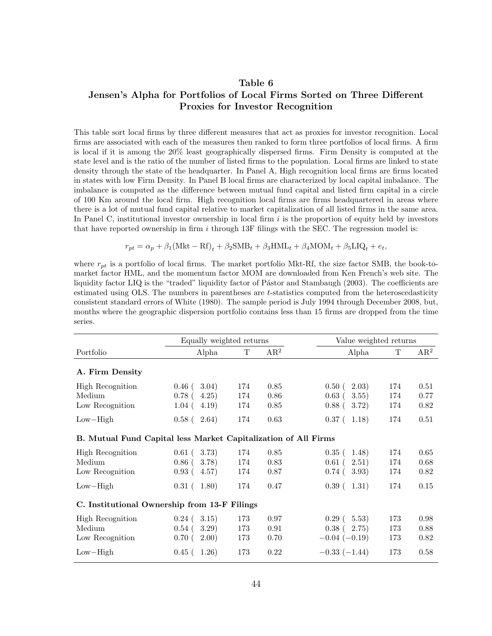### Table 6 Jensen's Alpha for Portfolios of Local Firms Sorted on Three Different Proxies for Investor Recognition

This table sort local firms by three different measures that act as proxies for investor recognition. Local firms are associated with each of the measures then ranked to form three portfolios of local firms. A firm is local if it is among the 20% least geographically dispersed firms. Firm Density is computed at the state level and is the ratio of the number of listed firms to the population. Local firms are linked to state density through the state of the headquarter. In Panel A, High recognition local firms are firms located in states with low Firm Density. In Panel B local firms are characterized by local capital imbalance. The imbalance is computed as the difference between mutual fund capital and listed firm capital in a circle of 100 Km around the local firm. High recognition local firms are firms headquartered in areas where there is a lot of mutual fund capital relative to market capitalization of all listed firms in the same area. In Panel C, institutional investor ownership in local firm  $i$  is the proportion of equity held by investors that have reported ownership in firm  $i$  through 13F filings with the SEC. The regression model is:

$$
r_{pt} = \alpha_p + \beta_1 (\text{Mkt} - \text{Rf})_t + \beta_2 \text{SMB}_t + \beta_3 \text{HML}_t + \beta_4 \text{MOM}_t + \beta_5 \text{LIQ}_t + e_t,
$$

where  $r_{pt}$  is a portfolio of local firms. The market portfolio Mkt-Rf, the size factor SMB, the book-tomarket factor HML, and the momentum factor MOM are downloaded from Ken French's web site. The liquidity factor LIQ is the "traded" liquidity factor of Pástor and Stambaugh (2003). The coefficients are estimated using OLS. The numbers in parentheses are  $t$ -statistics computed from the heteroscedasticity consistent standard errors of White (1980). The sample period is July 1994 through December 2008, but, months where the geographic dispersion portfolio contains less than 15 firms are dropped from the time series.

|                                                                | Equally weighted returns |     |        |                    | Value weighted returns |        |  |  |
|----------------------------------------------------------------|--------------------------|-----|--------|--------------------|------------------------|--------|--|--|
| Portfolio                                                      | Alpha                    | T   | $AR^2$ | Alpha              | T                      | $AR^2$ |  |  |
| A. Firm Density                                                |                          |     |        |                    |                        |        |  |  |
| <b>High Recognition</b>                                        | 3.04)<br>$0.46$ (        | 174 | 0.85   | 0.50(<br>2.03)     | 174                    | 0.51   |  |  |
| Medium                                                         | 4.25)<br>0.78            | 174 | 0.86   | $0.63$ (<br>3.55)  | 174                    | 0.77   |  |  |
| Low Recognition                                                | 1.04(<br>4.19)           | 174 | 0.85   | $0.88$ (<br>3.72)  | 174                    | 0.82   |  |  |
| $Low-High$                                                     | 2.64)<br>$0.58$ (        | 174 | 0.63   | $0.37$ ( $1.18$ )  | 174                    | 0.51   |  |  |
| B. Mutual Fund Capital less Market Capitalization of All Firms |                          |     |        |                    |                        |        |  |  |
| <b>High Recognition</b>                                        | 3.73)<br>$0.61$ (        | 174 | 0.85   | 1.48)<br>$0.35$ (  | 174                    | 0.65   |  |  |
| Medium                                                         | 3.78)<br>0.86            | 174 | 0.83   | $0.61$ (<br>(2.51) | 174                    | 0.68   |  |  |
| Low Recognition                                                | $0.93$ (<br>4.57)        | 174 | 0.87   | $0.74$ (<br>3.93)  | 174                    | 0.82   |  |  |
| $Low-High$                                                     | $0.31(-1.80)$            | 174 | 0.47   | $0.39(-1.31)$      | 174                    | 0.15   |  |  |
| C. Institutional Ownership from 13-F Filings                   |                          |     |        |                    |                        |        |  |  |
| High Recognition                                               | 3.15)<br>0.24(           | 173 | 0.97   | $0.29$ (<br>5.53)  | 173                    | 0.98   |  |  |
| Medium                                                         | 3.29)<br>0.54            | 173 | 0.91   | $0.38$ (<br>(2.75) | 173                    | 0.88   |  |  |
| Low Recognition                                                | 2.00)<br>0.70(           | 173 | 0.70   | $-0.04(-0.19)$     | 173                    | 0.82   |  |  |
| $Low-High$                                                     | $0.45$ (<br>1.26)        | 173 | 0.22   | $-0.33(-1.44)$     | 173                    | 0.58   |  |  |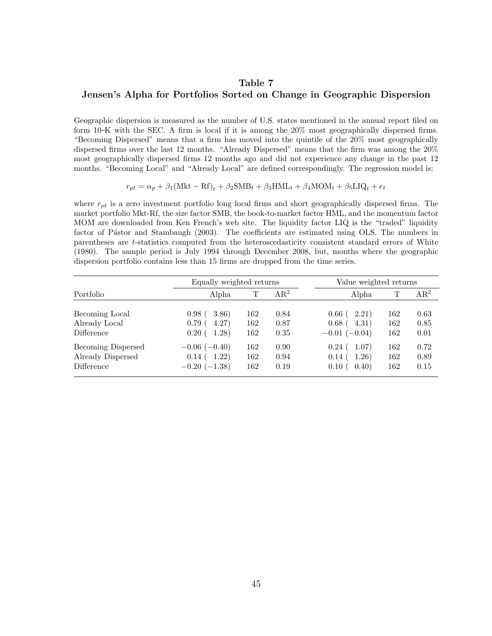#### Jensen's Alpha for Portfolios Sorted on Change in Geographic Dispersion

Geographic dispersion is measured as the number of U.S. states mentioned in the annual report filed on form 10 K with the SEC. A firm is local if it is among the 20% most geographically dispersed firms. "Becoming Dispersed" means that a firm has moved into the quintile of the 20% most geographically dispersed firms over the last 12 months. "Already Dispersed" means that the firm was among the 20% most geographically dispersed firms 12 months ago and did not experience any change in the past 12 months. "Becoming Local" and "Already Local" are defined correspondingly. The regression model is:

$$
r_{pt} = \alpha_p + \beta_1 (\text{Mkt} - \text{Rf})_t + \beta_2 \text{SMB}_t + \beta_3 \text{HML}_t + \beta_4 \text{MOM}_t + \beta_5 \text{LIQ}_t + e_t
$$

where  $r_{pt}$  is a zero investment portfolio long local firms and short geographically dispersed firms. The market portfolio Mkt-Rf, the size factor SMB, the book-to-market factor HML, and the momentum factor MOM are downloaded from Ken French's web site. The liquidity factor LIQ is the "traded" liquidity factor of Pástor and Stambaugh (2003). The coefficients are estimated using OLS. The numbers in parentheses are t-statistics computed from the heteroscedasticity consistent standard errors of White (1980). The sample period is July 1994 through December 2008, but, months where the geographic dispersion portfolio contains less than 15 firms are dropped from the time series.

|                    | Equally weighted returns   |     |        | Value weighted returns     |     |        |  |
|--------------------|----------------------------|-----|--------|----------------------------|-----|--------|--|
| Portfolio          | Alpha                      | Т   | $AR^2$ | Alpha                      | Т   | $AR^2$ |  |
| Becoming Local     | 3.86)<br>0.98 <sub>1</sub> | 162 | 0.84   | (2.21)<br>0.66             | 162 | 0.63   |  |
| Already Local      | 4.27)<br>0.79 <sub>1</sub> | 162 | 0.87   | 4.31)<br>$0.68$ (          | 162 | 0.85   |  |
| Difference         | 1.28)<br>0.20 <sub>0</sub> | 162 | 0.35   | $-0.01$ ( $-0.04$ )        | 162 | 0.01   |  |
| Becoming Dispersed | $-0.06$ $(-0.40)$          | 162 | 0.90   | 1.07)<br>0.24 <sub>0</sub> | 162 | 0.72   |  |
| Already Dispersed  | 1.22)<br>0.14(             | 162 | 0.94   | 1.26)<br>0.14(             | 162 | 0.89   |  |
| <b>Difference</b>  | $-0.20$ ( $-1.38$ )        | 162 | 0.19   | 0.10(<br>(0.40)            | 162 | 0.15   |  |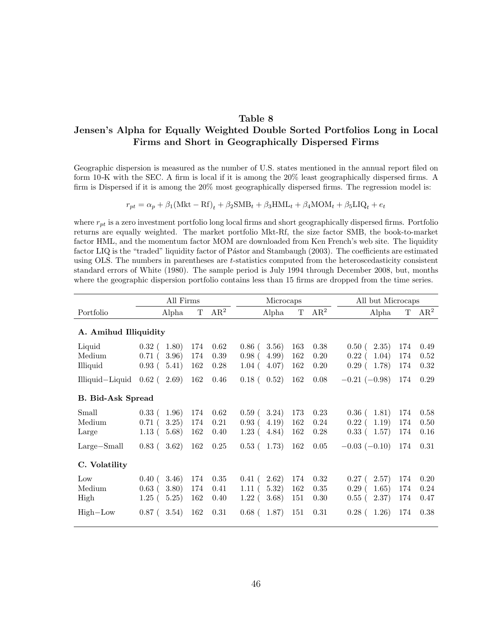### Jensen's Alpha for Equally Weighted Double Sorted Portfolios Long in Local Firms and Short in Geographically Dispersed Firms

Geographic dispersion is measured as the number of U.S. states mentioned in the annual report filed on form 10 K with the SEC. A firm is local if it is among the 20% least geographically dispersed firms. A firm is Dispersed if it is among the 20% most geographically dispersed firms. The regression model is:

$$
r_{pt} = \alpha_p + \beta_1 (\text{Mkt} - \text{Rf})_t + \beta_2 \text{SMB}_t + \beta_3 \text{HML}_t + \beta_4 \text{MOM}_t + \beta_5 \text{LIQ}_t + e_t
$$

where  $r_{pt}$  is a zero investment portfolio long local firms and short geographically dispersed firms. Portfolio returns are equally weighted. The market portfolio Mkt-Rf, the size factor SMB, the book-to-market factor HML, and the momentum factor MOM are downloaded from Ken French's web site. The liquidity factor LIQ is the "traded" liquidity factor of Pástor and Stambaugh (2003). The coefficients are estimated using OLS. The numbers in parentheses are t-statistics computed from the heteroscedasticity consistent standard errors of White (1980). The sample period is July 1994 through December 2008, but, months where the geographic dispersion portfolio contains less than 15 firms are dropped from the time series.

|                          | All Firms                  |             |                 | Microcaps          |     |                 | All but Microcaps   |     |                 |
|--------------------------|----------------------------|-------------|-----------------|--------------------|-----|-----------------|---------------------|-----|-----------------|
| Portfolio                | Alpha                      | $\mathbf T$ | AR <sup>2</sup> | Alpha              | T   | AR <sup>2</sup> | Alpha               | T   | AR <sup>2</sup> |
| A. Amihud Illiquidity    |                            |             |                 |                    |     |                 |                     |     |                 |
| Liquid                   | $0.32$ (<br>1.80)          | 174         | 0.62            | $0.86$ (<br>3.56)  | 163 | 0.38            | (2.35)<br>0.50(     | 174 | 0.49            |
| Medium                   | 0.71(<br>3.96)             | 174         | 0.39            | 0.98<br>4.99)      | 162 | 0.20            | 0.22(<br>1.04)      | 174 | 0.52            |
| Illiquid                 | $0.93$ (<br>5.41)          | 162         | 0.28            | 1.04(<br>4.07)     | 162 | 0.20            | 1.78)<br>0.29(      | 174 | 0.32            |
| Illiquid-Liquid          | (2.69)<br>$0.62$ (         | 162         | 0.46            | (0.52)<br>$0.18$ ( | 162 | 0.08            | $-0.21(-0.98)$      | 174 | 0.29            |
| <b>B.</b> Bid-Ask Spread |                            |             |                 |                    |     |                 |                     |     |                 |
| Small                    | $0.33$ (<br>1.96)          | 174         | 0.62            | $0.59$ (<br>3.24)  | 173 | 0.23            | 1.81)<br>$0.36$ (   | 174 | 0.58            |
| Medium                   | 0.71(<br>3.25)             | 174         | 0.21            | 0.93(<br>(4.19)    | 162 | 0.24            | 0.22(<br>1.19)      | 174 | 0.50            |
| Large                    | 5.68)<br>$1.13$ (          | 162         | 0.40            | 1.23(<br>4.84)     | 162 | 0.28            | 0.33(<br>1.57)      | 174 | 0.16            |
| $Large-Small$            | $0.83$ (<br>3.62)          | 162         | 0.25            | $0.53$ (<br>1.73)  | 162 | 0.05            | $-0.03$ ( $-0.10$ ) | 174 | 0.31            |
| C. Volatility            |                            |             |                 |                    |     |                 |                     |     |                 |
| Low                      | 3.46)<br>0.40 <sub>0</sub> | 174         | 0.35            | 2.62)<br>$0.41$ (  | 174 | 0.32            | (2.57)<br>$0.27$ (  | 174 | 0.20            |
| Medium                   | $0.63$ (<br>3.80)          | 174         | 0.41            | 5.32)<br>1.11(     | 162 | 0.35            | 1.65)<br>0.29(      | 174 | 0.24            |
| High                     | 5.25)<br>1.25(             | 162         | 0.40            | 3.68)<br>1.22      | 151 | 0.30            | (2.37)<br>0.55      | 174 | 0.47            |
| $High-Low$               | 3.54)<br>$0.87$ (          | 162         | 0.31            | $0.68$ (<br>1.87)  | 151 | 0.31            | 1.26)<br>$0.28$ (   | 174 | 0.38            |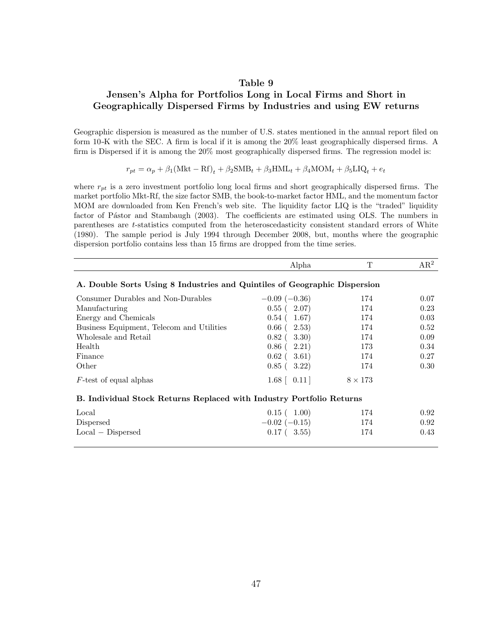#### Jensen's Alpha for Portfolios Long in Local Firms and Short in Geographically Dispersed Firms by Industries and using EW returns

Geographic dispersion is measured as the number of U.S. states mentioned in the annual report filed on form 10 K with the SEC. A firm is local if it is among the 20% least geographically dispersed firms. A firm is Dispersed if it is among the 20% most geographically dispersed firms. The regression model is:

$$
r_{pt} = \alpha_p + \beta_1(\text{Mkt} - \text{Rf})_t + \beta_2 \text{SMB}_t + \beta_3 \text{HML}_t + \beta_4 \text{MOM}_t + \beta_5 \text{LIQ}_t + e_t
$$

where  $r_{pt}$  is a zero investment portfolio long local firms and short geographically dispersed firms. The market portfolio Mkt-Rf, the size factor SMB, the book-to-market factor HML, and the momentum factor MOM are downloaded from Ken French's web site. The liquidity factor LIQ is the "traded" liquidity factor of Pástor and Stambaugh (2003). The coefficients are estimated using OLS. The numbers in parentheses are t-statistics computed from the heteroscedasticity consistent standard errors of White (1980). The sample period is July 1994 through December 2008, but, months where the geographic dispersion portfolio contains less than 15 firms are dropped from the time series.

|                                                                           | Alpha                       | T              | AR <sup>2</sup> |
|---------------------------------------------------------------------------|-----------------------------|----------------|-----------------|
| A. Double Sorts Using 8 Industries and Quintiles of Geographic Dispersion |                             |                |                 |
| Consumer Durables and Non-Durables                                        | $-0.09$ ( $-0.36$ )         | 174            | 0.07            |
| Manufacturing                                                             | $0.55(-2.07)$               | 174            | 0.23            |
| Energy and Chemicals                                                      | 1.67)<br>0.54(              | 174            | 0.03            |
| Business Equipment, Telecom and Utilities                                 | 2.53)<br>0.66 <sub>0</sub>  | 174            | 0.52            |
| Wholesale and Retail                                                      | 3.30)<br>0.82(              | 174            | 0.09            |
| Health                                                                    | 0.86 <sub>0</sub><br>(2.21) | 173            | 0.34            |
| Finance                                                                   | 0.62 <sub>0</sub><br>3.61)  | 174            | 0.27            |
| Other                                                                     | 3.22)<br>0.85(              | 174            | 0.30            |
| F-test of equal alphas                                                    | $1.68$ [ 0.11 ]             | $8 \times 173$ |                 |
| B. Individual Stock Returns Replaced with Industry Portfolio Returns      |                             |                |                 |
| Local                                                                     | 1.00)<br>0.15(              | 174            | 0.92            |

Dispersed −0.02 (−0.15) 174 0.92 Local − Dispersed 0.17 ( 3.55) 174 0.43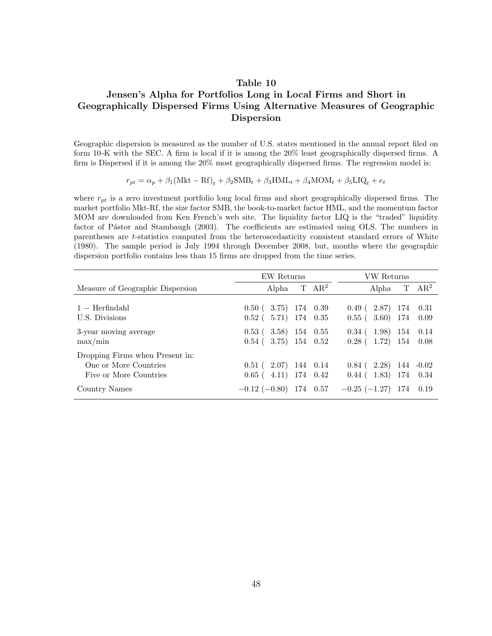### Jensen's Alpha for Portfolios Long in Local Firms and Short in Geographically Dispersed Firms Using Alternative Measures of Geographic Dispersion

Geographic dispersion is measured as the number of U.S. states mentioned in the annual report filed on form 10 K with the SEC. A firm is local if it is among the 20% least geographically dispersed firms. A firm is Dispersed if it is among the 20% most geographically dispersed firms. The regression model is:

$$
r_{pt} = \alpha_p + \beta_1 (\text{Mkt} - \text{Rf})_t + \beta_2 \text{SMB}_t + \beta_3 \text{HML}_t + \beta_4 \text{MOM}_t + \beta_5 \text{LIQ}_t + e_t
$$

where  $r_{pt}$  is a zero investment portfolio long local firms and short geographically dispersed firms. The market portfolio Mkt-Rf, the size factor SMB, the book-to-market factor HML, and the momentum factor MOM are downloaded from Ken French's web site. The liquidity factor LIQ is the "traded" liquidity factor of Pástor and Stambaugh (2003). The coefficients are estimated using OLS. The numbers in parentheses are t-statistics computed from the heteroscedasticity consistent standard errors of White (1980). The sample period is July 1994 through December 2008, but, months where the geographic dispersion portfolio contains less than 15 firms are dropped from the time series.

|                                                                                                     | EW Returns                                                                                     | VW Returns                                                                                           |
|-----------------------------------------------------------------------------------------------------|------------------------------------------------------------------------------------------------|------------------------------------------------------------------------------------------------------|
| Measure of Geographic Dispersion                                                                    | $AR^2$<br>T.<br>Alpha                                                                          | AR <sup>2</sup><br>Alpha<br>Т                                                                        |
| 1 – Herfindahl<br>U.S. Divisions                                                                    | 3.75) 174 0.39<br>$0.50$ (<br>$0.52$ (<br>5.71) 174 0.35                                       | 2.87)<br>- 174<br>0.31<br>$0.49$ (<br>$3.60)$ 174<br>0.09<br>0.55(                                   |
| 3-year moving average<br>$\max/\min$                                                                | 3.58) 154 0.55<br>$0.53$ (<br>$0.54$ ( $3.75$ ) $154$ $0.52$                                   | $1.98$ ) 154<br>0.14<br>$0.34$ (<br>$1.72)$ 154<br>$0.28$ (<br>0.08                                  |
| Dropping Firms when Present in:<br>One or More Countries<br>Five or More Countries<br>Country Names | 2.07)<br>144 0.14<br>$0.51$ (<br>4.11)<br>174 0.42<br>$0.65$ (<br>$-0.12$ ( $-0.80$ ) 174 0.57 | 2.28)<br>144 -0.02<br>$0.84$ (<br>$1.83)$ 174<br>0.34<br>0.44(<br>$-0.25$ ( $-1.27$ )<br>174<br>0.19 |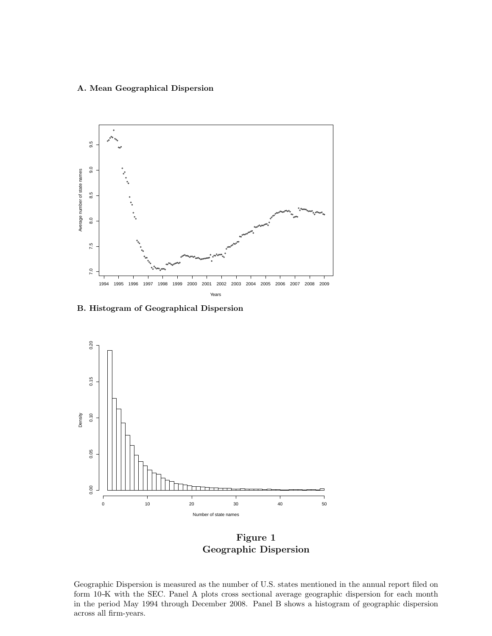

B. Histogram of Geographical Dispersion



Figure 1 Geographic Dispersion

Geographic Dispersion is measured as the number of U.S. states mentioned in the annual report filed on form 10 K with the SEC. Panel A plots cross sectional average geographic dispersion for each month in the period May 1994 through December 2008. Panel B shows a histogram of geographic dispersion across all firm-years.